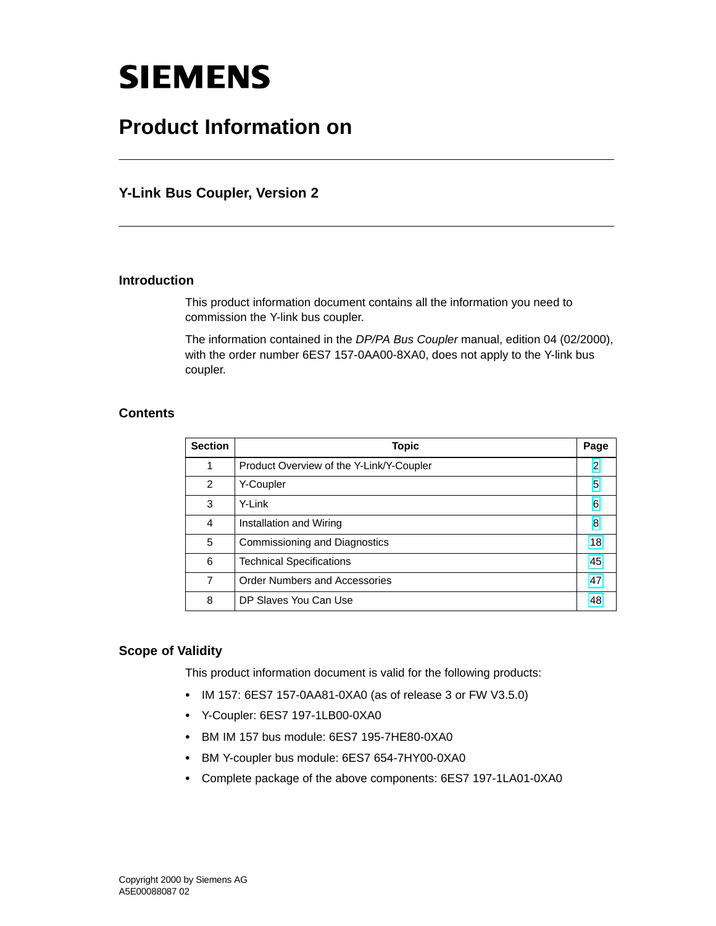# **SIEMENS**

# **Product Information on**

# **Y-Link Bus Coupler, Version 2**

#### **Introduction**

This product information document contains all the information you need to commission the Y-link bus coupler.

The information contained in the *DP/PA Bus Coupler* manual, edition 04 (02/2000), with the order number 6ES7 157-0AA00-8XA0, does not apply to the Y-link bus coupler.

#### **Contents**

| <b>Section</b> | <b>Topic</b>                             | Page |
|----------------|------------------------------------------|------|
|                | Product Overview of the Y-Link/Y-Coupler | 2    |
| 2              | Y-Coupler                                | 5    |
| 3              | Y-Link                                   | 6    |
| 4              | Installation and Wiring                  | 8    |
| 5              | Commissioning and Diagnostics            | 18   |
| 6              | <b>Technical Specifications</b>          | 45   |
| $\overline{7}$ | <b>Order Numbers and Accessories</b>     | 47   |
| 8              | DP Slaves You Can Use                    | 48   |

#### **Scope of Validity**

This product information document is valid for the following products:

- IM 157: 6ES7 157-0AA81-0XA0 (as of release 3 or FW V3.5.0)
- Y-Coupler: 6ES7 197-1LB00-0XA0
- BM IM 157 bus module: 6ES7 195-7HE80-0XA0
- BM Y-coupler bus module: 6ES7 654-7HY00-0XA0
- Complete package of the above components: 6ES7 197-1LA01-0XA0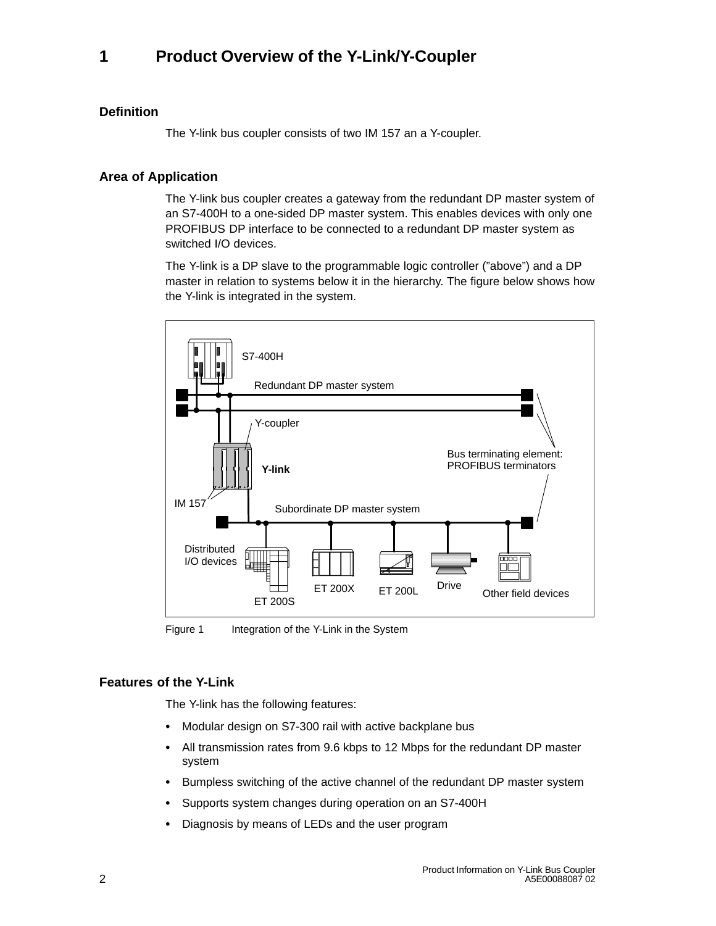#### <span id="page-1-0"></span>**Definition**

The Y-link bus coupler consists of two IM 157 an a Y-coupler.

#### **Area of Application**

The Y-link bus coupler creates a gateway from the redundant DP master system of an S7-400H to a one-sided DP master system. This enables devices with only one PROFIBUS DP interface to be connected to a redundant DP master system as switched I/O devices.

The Y-link is a DP slave to the programmable logic controller ("above") and a DP master in relation to systems below it in the hierarchy. The figure below shows how the Y-link is integrated in the system.



Figure 1 Integration of the Y-Link in the System

#### **Features of the Y-Link**

The Y-link has the following features:

- Modular design on S7-300 rail with active backplane bus
- All transmission rates from 9.6 kbps to 12 Mbps for the redundant DP master system
- Bumpless switching of the active channel of the redundant DP master system
- Supports system changes during operation on an S7-400H
- Diagnosis by means of LEDs and the user program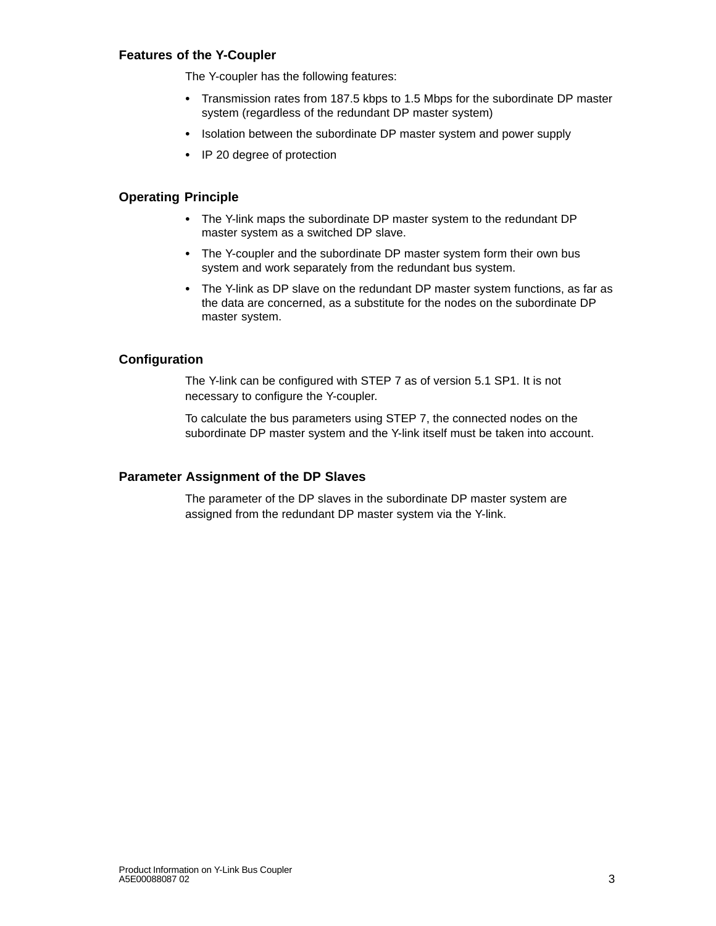#### **Features of the Y-Coupler**

The Y-coupler has the following features:

- Transmission rates from 187.5 kbps to 1.5 Mbps for the subordinate DP master system (regardless of the redundant DP master system)
- Isolation between the subordinate DP master system and power supply
- IP 20 degree of protection

#### **Operating Principle**

- The Y-link maps the subordinate DP master system to the redundant DP master system as a switched DP slave.
- The Y-coupler and the subordinate DP master system form their own bus system and work separately from the redundant bus system.
- The Y-link as DP slave on the redundant DP master system functions, as far as the data are concerned, as a substitute for the nodes on the subordinate DP master system.

#### **Configuration**

The Y-link can be configured with STEP 7 as of version 5.1 SP1. It is not necessary to configure the Y-coupler.

To calculate the bus parameters using STEP 7, the connected nodes on the subordinate DP master system and the Y-link itself must be taken into account.

#### **Parameter Assignment of the DP Slaves**

The parameter of the DP slaves in the subordinate DP master system are assigned from the redundant DP master system via the Y-link.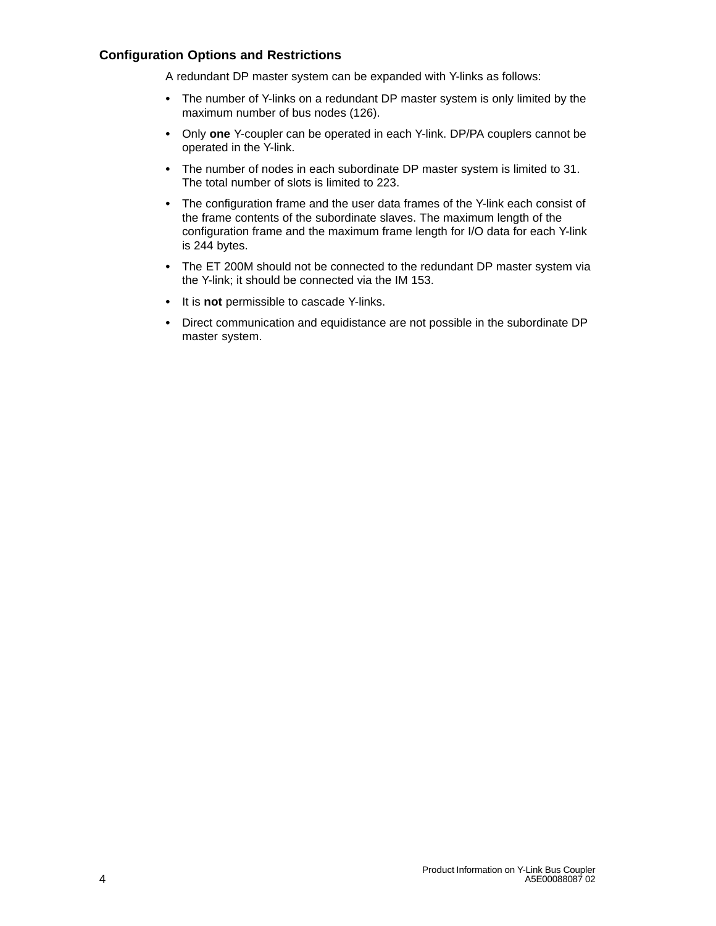#### **Configuration Options and Restrictions**

A redundant DP master system can be expanded with Y-links as follows:

- The number of Y-links on a redundant DP master system is only limited by the maximum number of bus nodes (126).
- Only **one** Y-coupler can be operated in each Y-link. DP/PA couplers cannot be operated in the Y-link.
- The number of nodes in each subordinate DP master system is limited to 31. The total number of slots is limited to 223.
- The configuration frame and the user data frames of the Y-link each consist of the frame contents of the subordinate slaves. The maximum length of the configuration frame and the maximum frame length for I/O data for each Y-link is 244 bytes.
- The ET 200M should not be connected to the redundant DP master system via the Y-link; it should be connected via the IM 153.
- $\cdot$  It is **not** permissible to cascade Y-links.
- Direct communication and equidistance are not possible in the subordinate DP master system.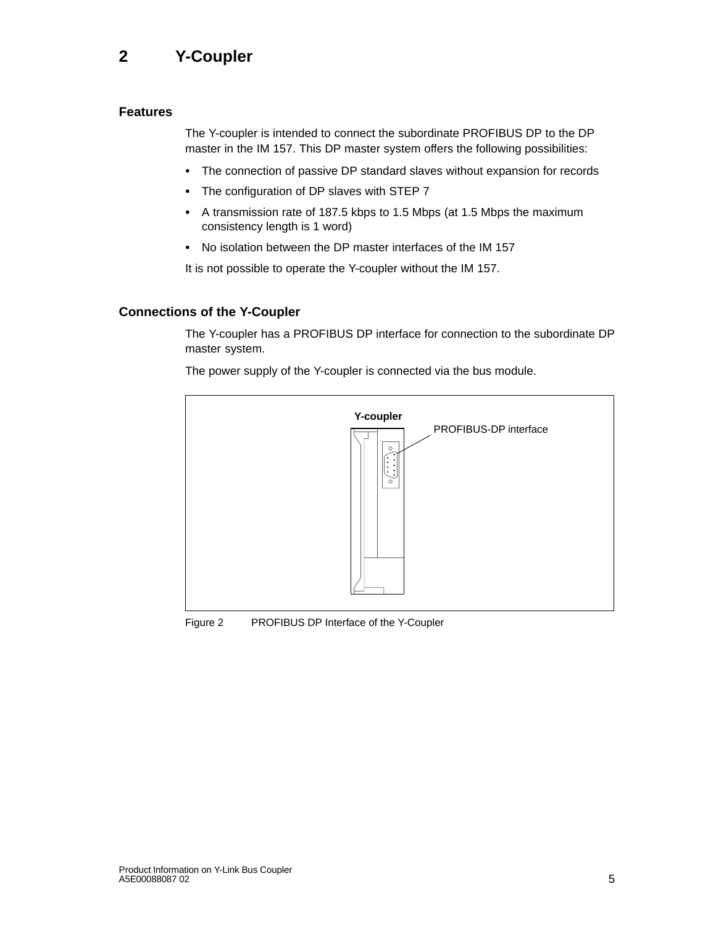# <span id="page-4-0"></span>**2 Y-Coupler**

#### **Features**

The Y-coupler is intended to connect the subordinate PROFIBUS DP to the DP master in the IM 157. This DP master system offers the following possibilities:

- The connection of passive DP standard slaves without expansion for records
- The configuration of DP slaves with STEP 7
- A transmission rate of 187.5 kbps to 1.5 Mbps (at 1.5 Mbps the maximum consistency length is 1 word)
- No isolation between the DP master interfaces of the IM 157

It is not possible to operate the Y-coupler without the IM 157.

#### **Connections of the Y-Coupler**

The Y-coupler has a PROFIBUS DP interface for connection to the subordinate DP master system.

The power supply of the Y-coupler is connected via the bus module.



Figure 2 PROFIBUS DP Interface of the Y-Coupler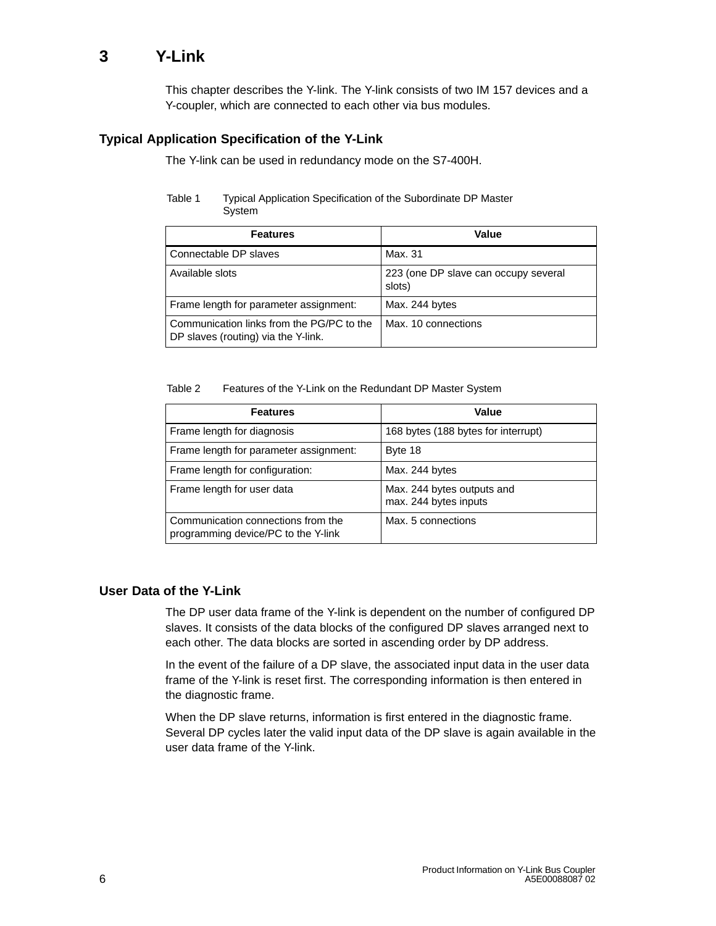# <span id="page-5-1"></span><span id="page-5-0"></span>**3 Y-Link**

This chapter describes the Y-link. The Y-link consists of two IM 157 devices and a Y-coupler, which are connected to each other via bus modules.

#### **Typical Application Specification of the Y-Link**

The Y-link can be used in redundancy mode on the S7-400H.

| Table 1 | Typical Application Specification of the Subordinate DP Master |
|---------|----------------------------------------------------------------|
|         | System                                                         |

| <b>Features</b>                                                                  | Value                                          |
|----------------------------------------------------------------------------------|------------------------------------------------|
| Connectable DP slaves                                                            | Max. 31                                        |
| Available slots                                                                  | 223 (one DP slave can occupy several<br>slots) |
| Frame length for parameter assignment:                                           | Max. 244 bytes                                 |
| Communication links from the PG/PC to the<br>DP slaves (routing) via the Y-link. | Max. 10 connections                            |

Table 2 Features of the Y-Link on the Redundant DP Master System

| <b>Features</b>                                                           | Value                                               |
|---------------------------------------------------------------------------|-----------------------------------------------------|
| Frame length for diagnosis                                                | 168 bytes (188 bytes for interrupt)                 |
| Frame length for parameter assignment:                                    | Byte 18                                             |
| Frame length for configuration:                                           | Max. 244 bytes                                      |
| Frame length for user data                                                | Max. 244 bytes outputs and<br>max. 244 bytes inputs |
| Communication connections from the<br>programming device/PC to the Y-link | Max. 5 connections                                  |

#### **User Data of the Y-Link**

The DP user data frame of the Y-link is dependent on the number of configured DP slaves. It consists of the data blocks of the configured DP slaves arranged next to each other. The data blocks are sorted in ascending order by DP address.

In the event of the failure of a DP slave, the associated input data in the user data frame of the Y-link is reset first. The corresponding information is then entered in the diagnostic frame.

When the DP slave returns, information is first entered in the diagnostic frame. Several DP cycles later the valid input data of the DP slave is again available in the user data frame of the Y-link.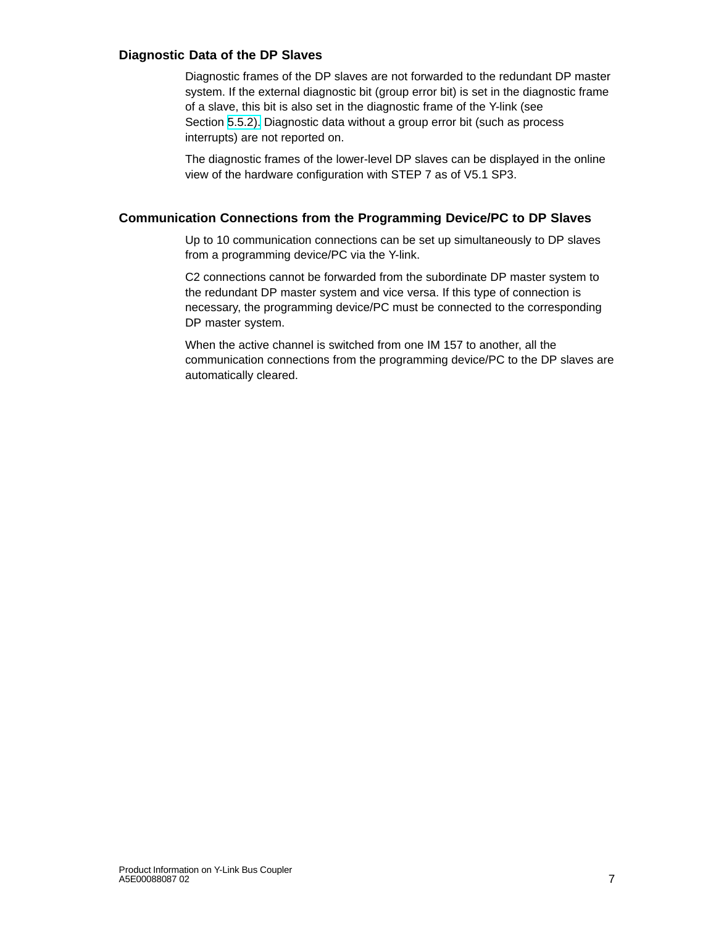#### **Diagnostic Data of the DP Slaves**

Diagnostic frames of the DP slaves are not forwarded to the redundant DP master system. If the external diagnostic bit (group error bit) is set in the diagnostic frame of a slave, this bit is also set in the diagnostic frame of the Y-link (see Section [5.5.2\).](#page-28-0) Diagnostic data without a group error bit (such as process interrupts) are not reported on.

The diagnostic frames of the lower-level DP slaves can be displayed in the online view of the hardware configuration with STEP 7 as of V5.1 SP3.

#### **Communication Connections from the Programming Device/PC to DP Slaves**

Up to 10 communication connections can be set up simultaneously to DP slaves from a programming device/PC via the Y-link.

C2 connections cannot be forwarded from the subordinate DP master system to the redundant DP master system and vice versa. If this type of connection is necessary, the programming device/PC must be connected to the corresponding DP master system.

When the active channel is switched from one IM 157 to another, all the communication connections from the programming device/PC to the DP slaves are automatically cleared.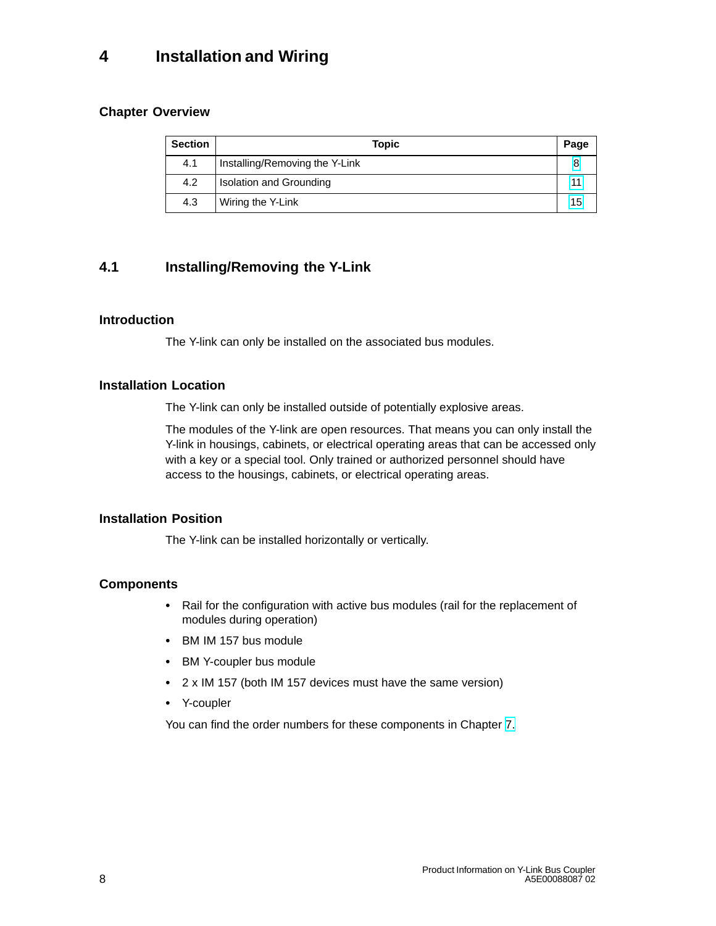# <span id="page-7-1"></span><span id="page-7-0"></span>**4 Installation and Wiring**

### **Chapter Overview**

| <b>Section</b> | <b>Topic</b>                   | Page |
|----------------|--------------------------------|------|
| 4.1            | Installing/Removing the Y-Link |      |
| 4.2            | Isolation and Grounding        |      |
| 4.3            | Wiring the Y-Link              | 15   |

# **4.1 Installing/Removing the Y-Link**

#### **Introduction**

The Y-link can only be installed on the associated bus modules.

### **Installation Location**

The Y-link can only be installed outside of potentially explosive areas.

The modules of the Y-link are open resources. That means you can only install the Y-link in housings, cabinets, or electrical operating areas that can be accessed only with a key or a special tool. Only trained or authorized personnel should have access to the housings, cabinets, or electrical operating areas.

#### **Installation Position**

The Y-link can be installed horizontally or vertically.

#### **Components**

- Rail for the configuration with active bus modules (rail for the replacement of modules during operation)
- BM IM 157 bus module
- BM Y-coupler bus module
- 2 x IM 157 (both IM 157 devices must have the same version)
- Y-coupler

You can find the order numbers for these components in Chapter [7.](#page-46-1)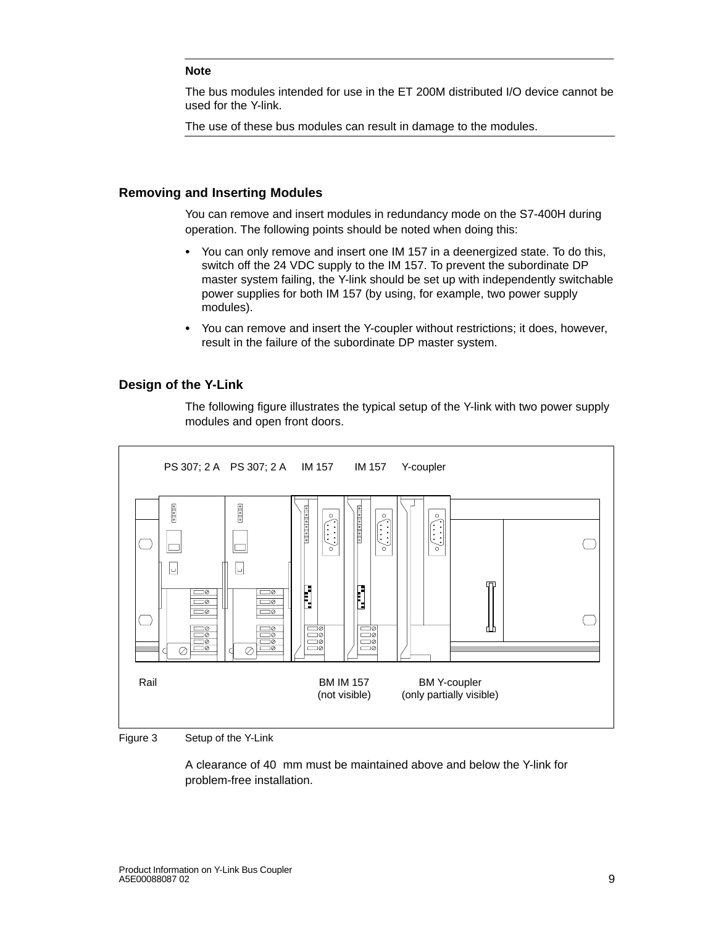#### **Note**

The bus modules intended for use in the ET 200M distributed I/O device cannot be used for the Y-link.

The use of these bus modules can result in damage to the modules.

#### **Removing and Inserting Modules**

You can remove and insert modules in redundancy mode on the S7-400H during operation. The following points should be noted when doing this:

- You can only remove and insert one IM 157 in a deenergized state. To do this, switch off the 24 VDC supply to the IM 157. To prevent the subordinate DP master system failing, the Y-link should be set up with independently switchable power supplies for both IM 157 (by using, for example, two power supply modules).
- You can remove and insert the Y-coupler without restrictions; it does, however, result in the failure of the subordinate DP master system.

#### **Design of the Y-Link**

The following figure illustrates the typical setup of the Y-link with two power supply modules and open front doors.



#### Figure 3 Setup of the Y-Link

A clearance of 40 mm must be maintained above and below the Y-link for problem-free installation.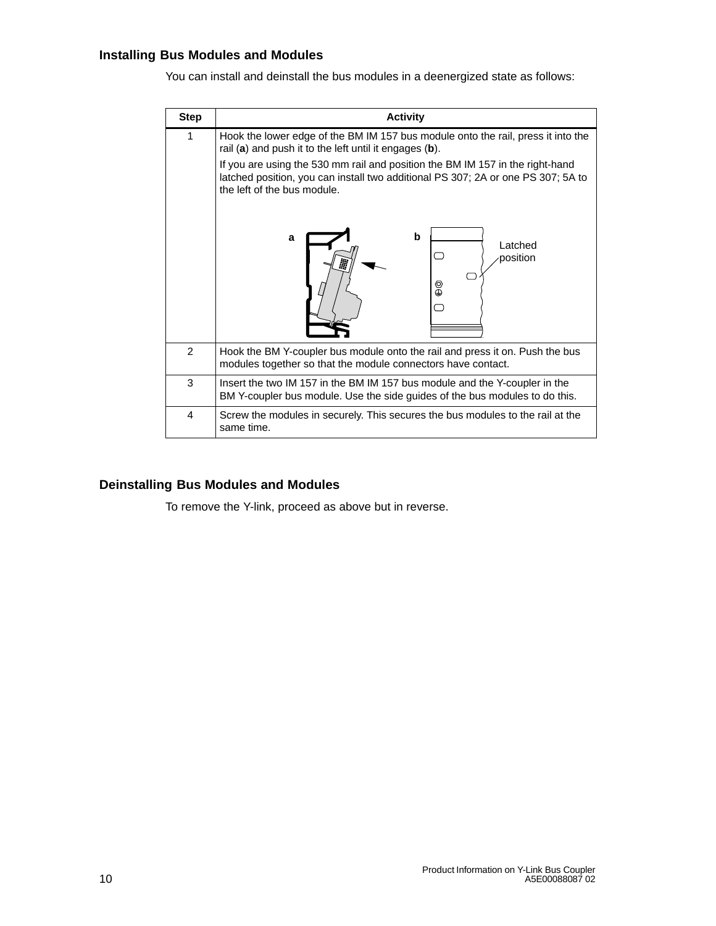# **Installing Bus Modules and Modules**

You can install and deinstall the bus modules in a deenergized state as follows:

| <b>Step</b>    | <b>Activity</b>                                                                                                                                                                                  |  |  |  |
|----------------|--------------------------------------------------------------------------------------------------------------------------------------------------------------------------------------------------|--|--|--|
| 1              | Hook the lower edge of the BM IM 157 bus module onto the rail, press it into the<br>rail (a) and push it to the left until it engages (b).                                                       |  |  |  |
|                | If you are using the 530 mm rail and position the BM IM 157 in the right-hand<br>latched position, you can install two additional PS 307; 2A or one PS 307; 5A to<br>the left of the bus module. |  |  |  |
|                | b<br>a<br>Latched<br>position<br>☺                                                                                                                                                               |  |  |  |
| $\mathfrak{p}$ | Hook the BM Y-coupler bus module onto the rail and press it on. Push the bus<br>modules together so that the module connectors have contact.                                                     |  |  |  |
| 3              | Insert the two IM 157 in the BM IM 157 bus module and the Y-coupler in the<br>BM Y-coupler bus module. Use the side guides of the bus modules to do this.                                        |  |  |  |
| $\overline{4}$ | Screw the modules in securely. This secures the bus modules to the rail at the<br>same time.                                                                                                     |  |  |  |

# **Deinstalling Bus Modules and Modules**

To remove the Y-link, proceed as above but in reverse.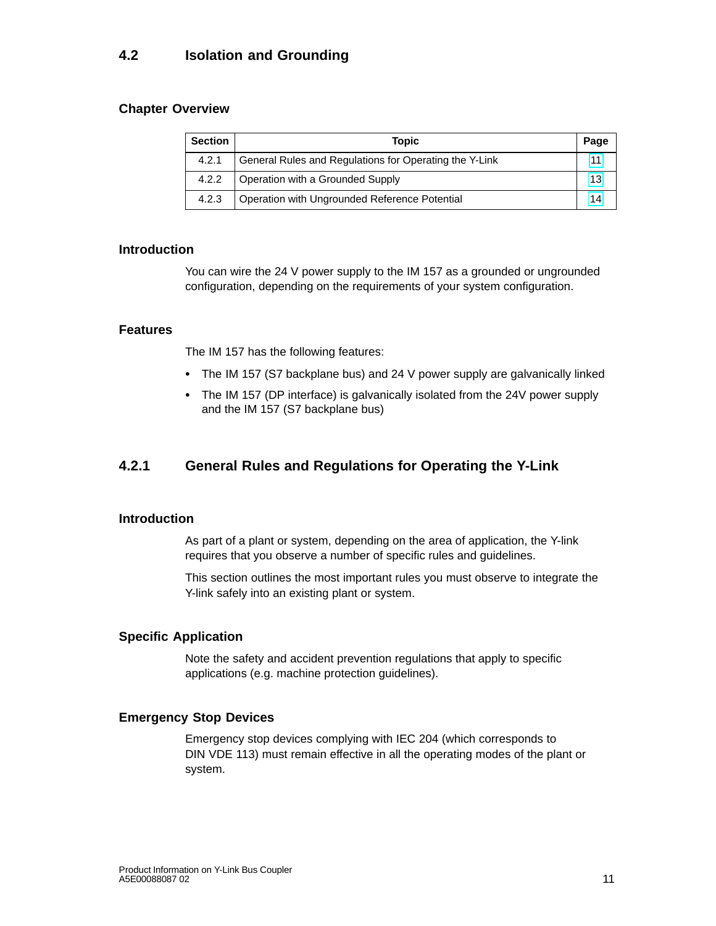### <span id="page-10-0"></span>**4.2 Isolation and Grounding**

#### **Chapter Overview**

| <b>Section</b> | <b>Topic</b>                                           | Page |
|----------------|--------------------------------------------------------|------|
| 4.2.1          | General Rules and Regulations for Operating the Y-Link |      |
| 4.2.2          | Operation with a Grounded Supply                       | 13   |
| 4.2.3          | Operation with Ungrounded Reference Potential          | 14   |

#### **Introduction**

You can wire the 24 V power supply to the IM 157 as a grounded or ungrounded configuration, depending on the requirements of your system configuration.

#### **Features**

The IM 157 has the following features:

- The IM 157 (S7 backplane bus) and 24 V power supply are galvanically linked
- The IM 157 (DP interface) is galvanically isolated from the 24V power supply and the IM 157 (S7 backplane bus)

# **4.2.1 General Rules and Regulations for Operating the Y-Link**

#### **Introduction**

As part of a plant or system, depending on the area of application, the Y-link requires that you observe a number of specific rules and guidelines.

This section outlines the most important rules you must observe to integrate the Y-link safely into an existing plant or system.

#### **Specific Application**

Note the safety and accident prevention regulations that apply to specific applications (e.g. machine protection guidelines).

#### **Emergency Stop Devices**

Emergency stop devices complying with IEC 204 (which corresponds to DIN VDE 113) must remain effective in all the operating modes of the plant or system.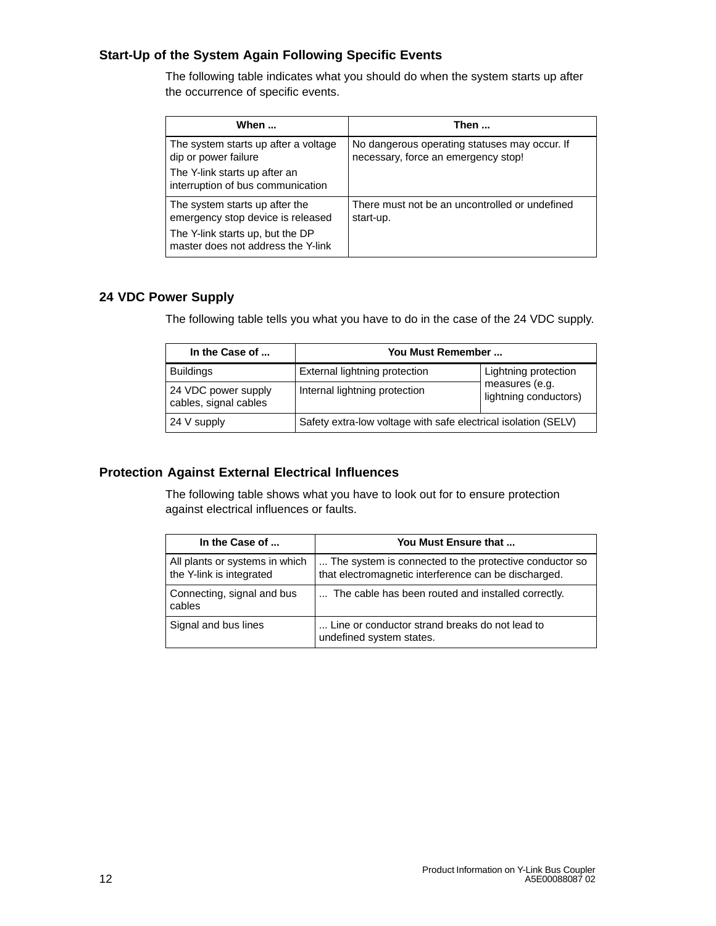## **Start-Up of the System Again Following Specific Events**

The following table indicates what you should do when the system starts up after the occurrence of specific events.

| When                                                                   | Then                                                                                 |
|------------------------------------------------------------------------|--------------------------------------------------------------------------------------|
| The system starts up after a voltage<br>dip or power failure           | No dangerous operating statuses may occur. If<br>necessary, force an emergency stop! |
| The Y-link starts up after an<br>interruption of bus communication     |                                                                                      |
| The system starts up after the<br>emergency stop device is released    | There must not be an uncontrolled or undefined<br>start-up.                          |
| The Y-link starts up, but the DP<br>master does not address the Y-link |                                                                                      |

### **24 VDC Power Supply**

The following table tells you what you have to do in the case of the 24 VDC supply.

| In the Case of                               | You Must Remember                                              |                                         |
|----------------------------------------------|----------------------------------------------------------------|-----------------------------------------|
| <b>Buildings</b>                             | External lightning protection                                  | Lightning protection                    |
| 24 VDC power supply<br>cables, signal cables | Internal lightning protection                                  | measures (e.g.<br>lightning conductors) |
| 24 V supply                                  | Safety extra-low voltage with safe electrical isolation (SELV) |                                         |

#### **Protection Against External Electrical Influences**

The following table shows what you have to look out for to ensure protection against electrical influences or faults.

| In the Case of                                             | You Must Ensure that                                                                                            |
|------------------------------------------------------------|-----------------------------------------------------------------------------------------------------------------|
| All plants or systems in which<br>the Y-link is integrated | The system is connected to the protective conductor so.<br>that electromagnetic interference can be discharged. |
| Connecting, signal and bus<br>cables                       | The cable has been routed and installed correctly.                                                              |
| Signal and bus lines                                       | Line or conductor strand breaks do not lead to<br>undefined system states.                                      |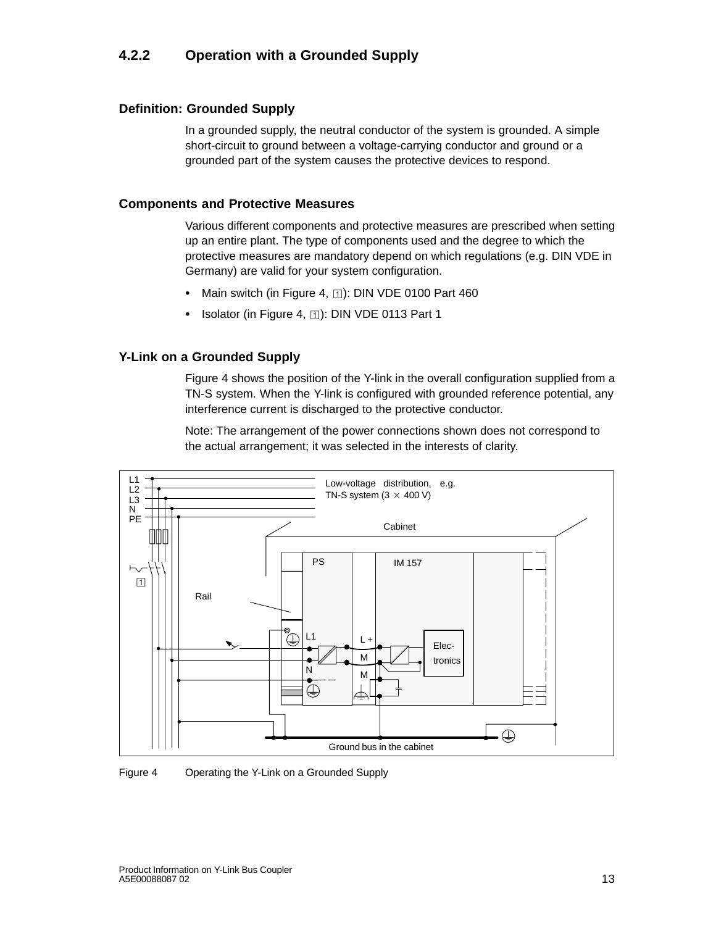# <span id="page-12-0"></span>**4.2.2 Operation with a Grounded Supply**

#### **Definition: Grounded Supply**

In a grounded supply, the neutral conductor of the system is grounded. A simple short-circuit to ground between a voltage-carrying conductor and ground or a grounded part of the system causes the protective devices to respond.

#### **Components and Protective Measures**

Various different components and protective measures are prescribed when setting up an entire plant. The type of components used and the degree to which the protective measures are mandatory depend on which regulations (e.g. DIN VDE in Germany) are valid for your system configuration.

- Main switch (in Figure 4,  $\text{m}$ ): DIN VDE 0100 Part 460
- Isolator (in Figure 4,  $\text{I})$ : DIN VDE 0113 Part 1

#### **Y-Link on a Grounded Supply**

Figure 4 shows the position of the Y-link in the overall configuration supplied from a TN-S system. When the Y-link is configured with grounded reference potential, any interference current is discharged to the protective conductor.

Note: The arrangement of the power connections shown does not correspond to the actual arrangement; it was selected in the interests of clarity.



Figure 4 Operating the Y-Link on a Grounded Supply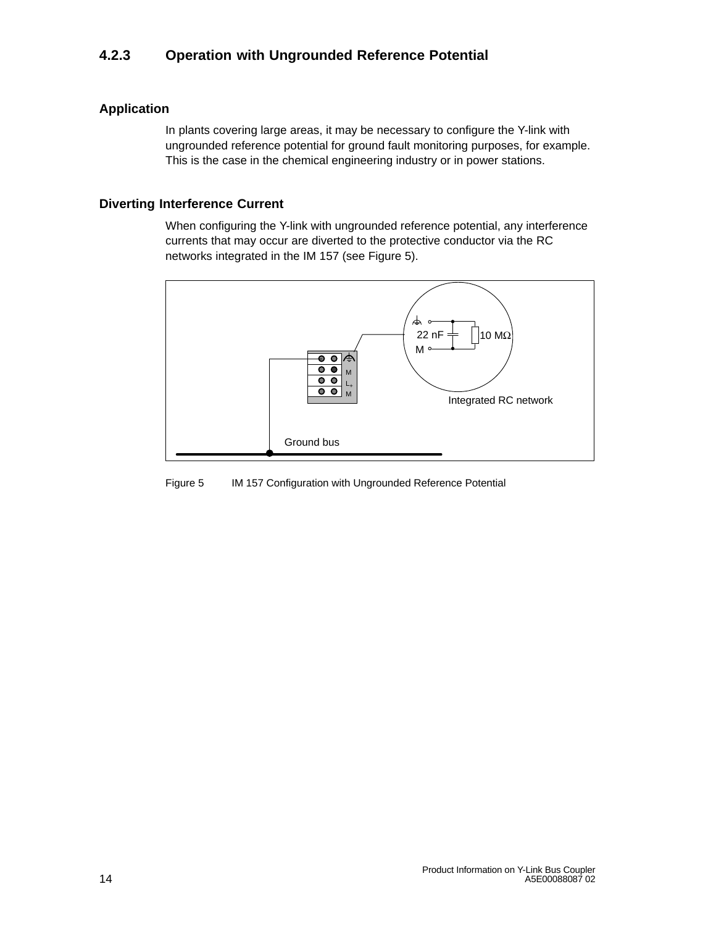# <span id="page-13-1"></span><span id="page-13-0"></span>**4.2.3 Operation with Ungrounded Reference Potential**

#### **Application**

In plants covering large areas, it may be necessary to configure the Y-link with ungrounded reference potential for ground fault monitoring purposes, for example. This is the case in the chemical engineering industry or in power stations.

#### **Diverting Interference Current**

When configuring the Y-link with ungrounded reference potential, any interference currents that may occur are diverted to the protective conductor via the RC networks integrated in the IM 157 (see Figure 5).



Figure 5 IM 157 Configuration with Ungrounded Reference Potential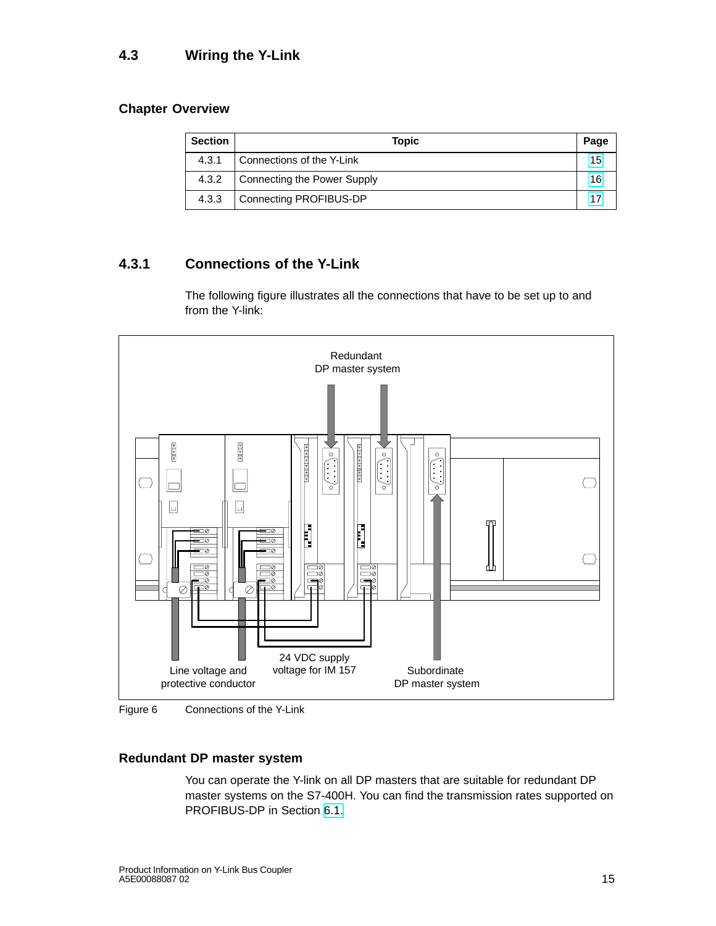# <span id="page-14-0"></span>**4.3 Wiring the Y-Link**

#### **Chapter Overview**

| <b>Section</b> | Topic                       | Page |
|----------------|-----------------------------|------|
| 4.3.1          | Connections of the Y-Link   | 15   |
| 4.3.2          | Connecting the Power Supply | 16   |
| 4.3.3          | Connecting PROFIBUS-DP      |      |

## **4.3.1 Connections of the Y-Link**

The following figure illustrates all the connections that have to be set up to and from the Y-link:



Figure 6 Connections of the Y-Link

#### **Redundant DP master system**

You can operate the Y-link on all DP masters that are suitable for redundant DP master systems on the S7-400H. You can find the transmission rates supported on PROFIBUS-DP in Section [6.1.](#page-44-1)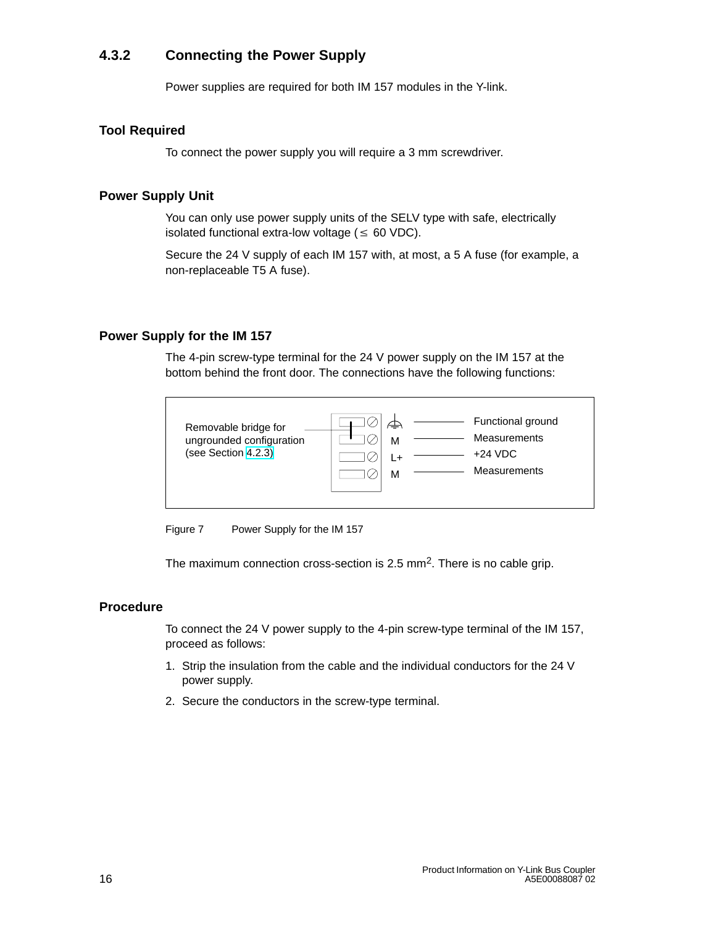# <span id="page-15-0"></span>**4.3.2 Connecting the Power Supply**

Power supplies are required for both IM 157 modules in the Y-link.

#### **Tool Required**

To connect the power supply you will require a 3 mm screwdriver.

#### **Power Supply Unit**

You can only use power supply units of the SELV type with safe, electrically isolated functional extra-low voltage  $( \leq 60$  VDC).

Secure the 24 V supply of each IM 157 with, at most, a 5 A fuse (for example, a non-replaceable T5 A fuse).

#### **Power Supply for the IM 157**

The 4-pin screw-type terminal for the 24 V power supply on the IM 157 at the bottom behind the front door. The connections have the following functions:



Figure 7 Power Supply for the IM 157

The maximum connection cross-section is 2.5 mm<sup>2</sup>. There is no cable grip.

#### **Procedure**

To connect the 24 V power supply to the 4-pin screw-type terminal of the IM 157, proceed as follows:

- 1. Strip the insulation from the cable and the individual conductors for the 24 V power supply.
- 2. Secure the conductors in the screw-type terminal.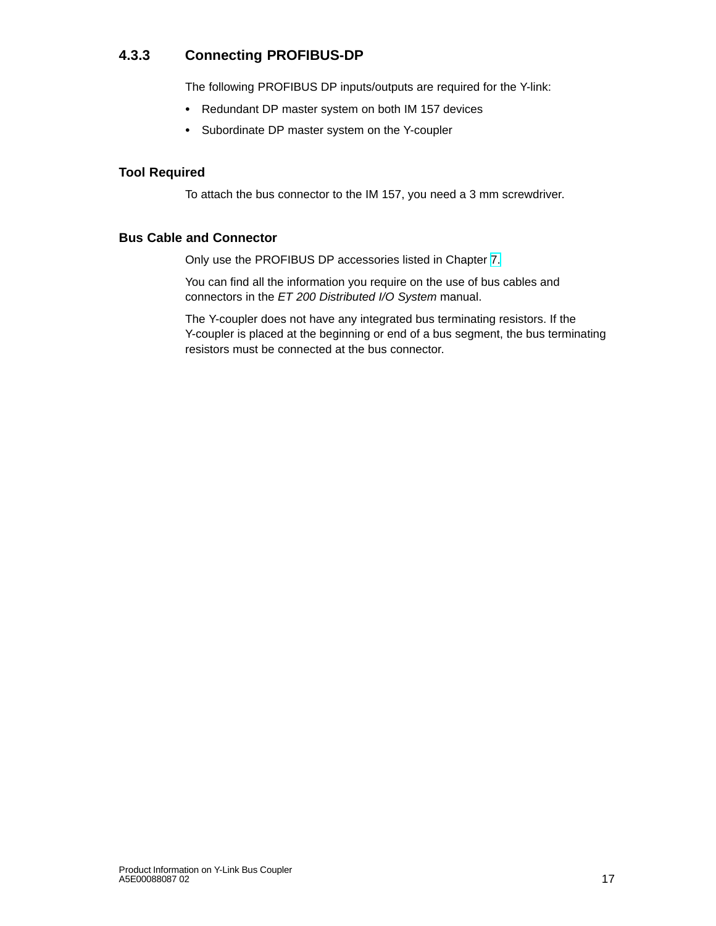# <span id="page-16-0"></span>**4.3.3 Connecting PROFIBUS-DP**

The following PROFIBUS DP inputs/outputs are required for the Y-link:

- Redundant DP master system on both IM 157 devices
- Subordinate DP master system on the Y-coupler

#### **Tool Required**

To attach the bus connector to the IM 157, you need a 3 mm screwdriver.

#### **Bus Cable and Connector**

Only use the PROFIBUS DP accessories listed in Chapter [7.](#page-46-1)

You can find all the information you require on the use of bus cables and connectors in the *ET 200 Distributed I/O System* manual.

The Y-coupler does not have any integrated bus terminating resistors. If the Y-coupler is placed at the beginning or end of a bus segment, the bus terminating resistors must be connected at the bus connector.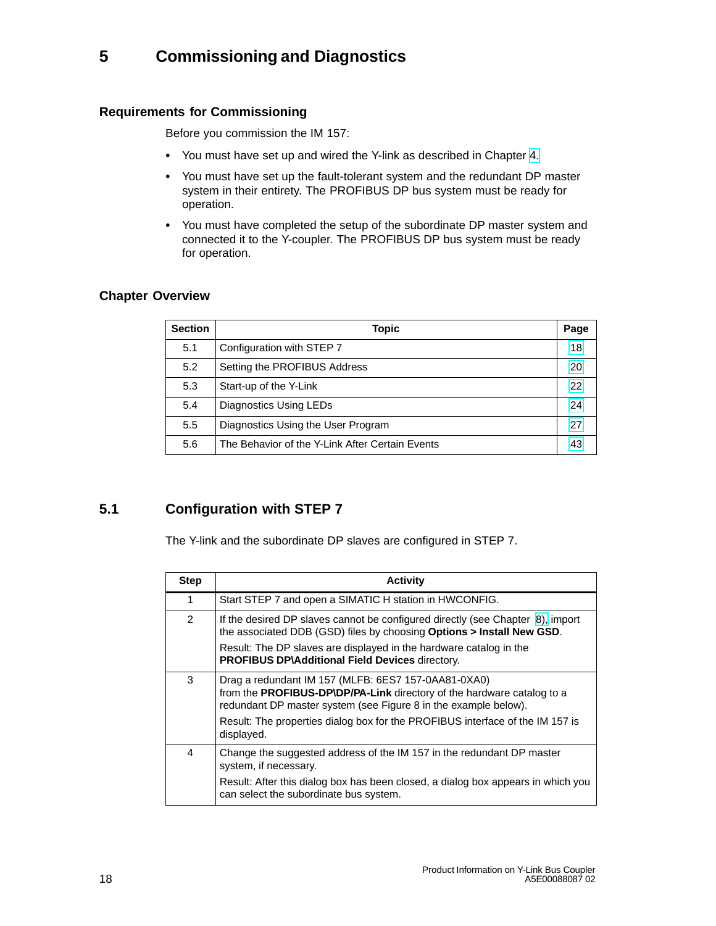# <span id="page-17-0"></span>**5 Commissioning and Diagnostics**

#### **Requirements for Commissioning**

Before you commission the IM 157:

- You must have set up and wired the Y-link as described in Chapter [4.](#page-7-1)
- You must have set up the fault-tolerant system and the redundant DP master system in their entirety. The PROFIBUS DP bus system must be ready for operation.
- You must have completed the setup of the subordinate DP master system and connected it to the Y-coupler. The PROFIBUS DP bus system must be ready for operation.

#### **Chapter Overview**

| <b>Section</b> | <b>Topic</b>                                    | Page |
|----------------|-------------------------------------------------|------|
| 5.1            | Configuration with STEP 7                       | 18   |
| 5.2            | Setting the PROFIBUS Address                    | 20   |
| 5.3            | Start-up of the Y-Link                          | 22   |
| 5.4            | Diagnostics Using LEDs                          | 24   |
| 5.5            | Diagnostics Using the User Program              | 27   |
| 5.6            | The Behavior of the Y-Link After Certain Events | 43   |

# **5.1 Configuration with STEP 7**

The Y-link and the subordinate DP slaves are configured in STEP 7.

| <b>Step</b> | <b>Activity</b>                                                                                                                                                                                                              |
|-------------|------------------------------------------------------------------------------------------------------------------------------------------------------------------------------------------------------------------------------|
| 1           | Start STEP 7 and open a SIMATIC H station in HWCONFIG.                                                                                                                                                                       |
| 2           | If the desired DP slaves cannot be configured directly (see Chapter 8), import<br>the associated DDB (GSD) files by choosing Options > Install New GSD.                                                                      |
|             | Result: The DP slaves are displayed in the hardware catalog in the<br><b>PROFIBUS DP\Additional Field Devices directory.</b>                                                                                                 |
| 3           | Drag a redundant IM 157 (MLFB: 6ES7 157-0AA81-0XA0)<br>from the <b>PROFIBUS-DP\DP/PA-Link</b> directory of the hardware catalog to a<br>redundant DP master system (see Figure 8 in the example below).                      |
|             | Result: The properties dialog box for the PROFIBUS interface of the IM 157 is<br>displayed.                                                                                                                                  |
| 4           | Change the suggested address of the IM 157 in the redundant DP master<br>system, if necessary.<br>Result: After this dialog box has been closed, a dialog box appears in which you<br>can select the subordinate bus system. |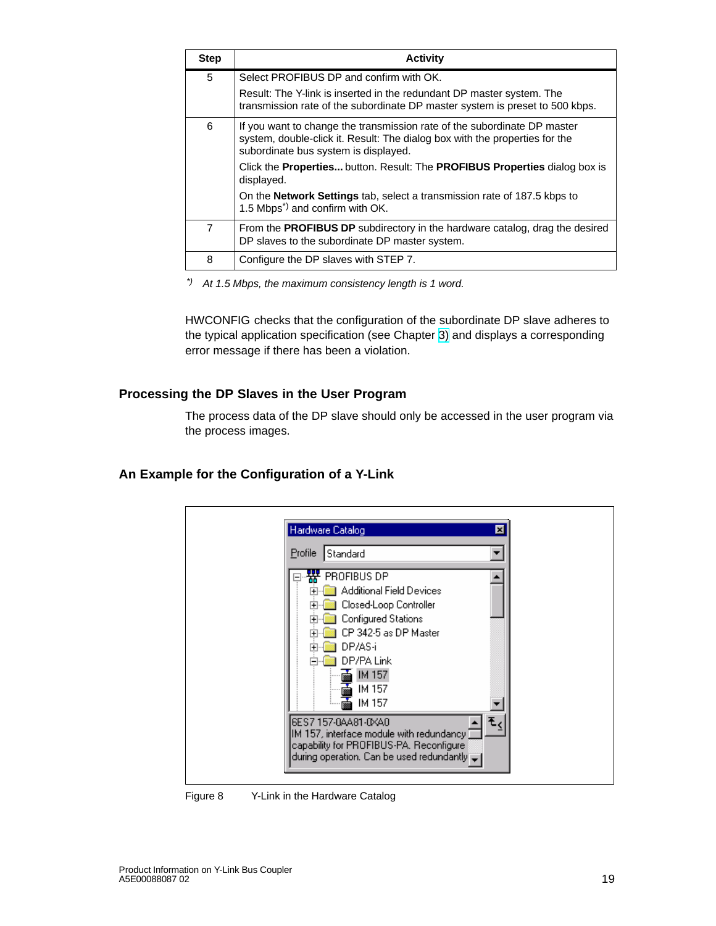| <b>Step</b> | <b>Activity</b>                                                                                                                                                                                 |
|-------------|-------------------------------------------------------------------------------------------------------------------------------------------------------------------------------------------------|
| 5           | Select PROFIBUS DP and confirm with OK.                                                                                                                                                         |
|             | Result: The Y-link is inserted in the redundant DP master system. The<br>transmission rate of the subordinate DP master system is preset to 500 kbps.                                           |
| 6           | If you want to change the transmission rate of the subordinate DP master<br>system, double-click it. Result: The dialog box with the properties for the<br>subordinate bus system is displayed. |
|             | Click the <b>Properties</b> button. Result: The <b>PROFIBUS Properties</b> dialog box is<br>displayed.                                                                                          |
|             | On the <b>Network Settings</b> tab, select a transmission rate of 187.5 kbps to<br>1.5 Mbps <sup>*)</sup> and confirm with OK.                                                                  |
| 7           | From the <b>PROFIBUS DP</b> subdirectory in the hardware catalog, drag the desired<br>DP slaves to the subordinate DP master system.                                                            |
| 8           | Configure the DP slaves with STEP 7.                                                                                                                                                            |

*\*) At 1.5 Mbps, the maximum consistency length is 1 word.*

HWCONFIG checks that the configuration of the subordinate DP slave adheres to the typical application specification (see Chapter [3\)](#page-5-1) and displays a corresponding error message if there has been a violation.

#### **Processing the DP Slaves in the User Program**

The process data of the DP slave should only be accessed in the user program via the process images.

#### **An Example for the Configuration of a Y-Link**



Figure 8 Y-Link in the Hardware Catalog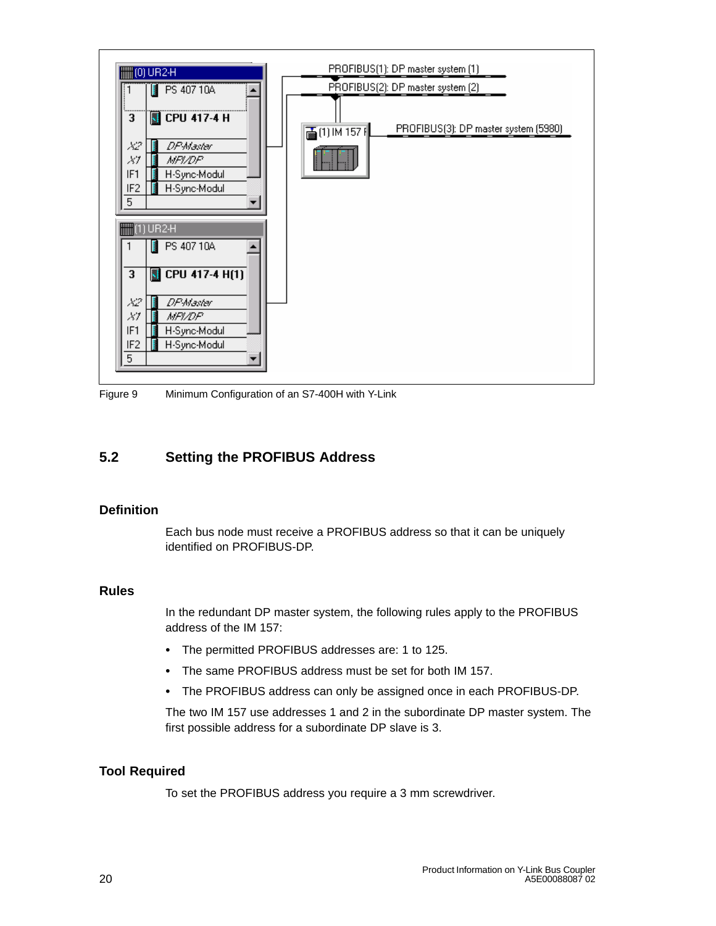<span id="page-19-0"></span>

Figure 9 Minimum Configuration of an S7-400H with Y-Link

### **5.2 Setting the PROFIBUS Address**

#### **Definition**

Each bus node must receive a PROFIBUS address so that it can be uniquely identified on PROFIBUS-DP.

#### **Rules**

In the redundant DP master system, the following rules apply to the PROFIBUS address of the IM 157:

- The permitted PROFIBUS addresses are: 1 to 125.
- The same PROFIBUS address must be set for both IM 157.
- The PROFIBUS address can only be assigned once in each PROFIBUS-DP.

The two IM 157 use addresses 1 and 2 in the subordinate DP master system. The first possible address for a subordinate DP slave is 3.

#### **Tool Required**

To set the PROFIBUS address you require a 3 mm screwdriver.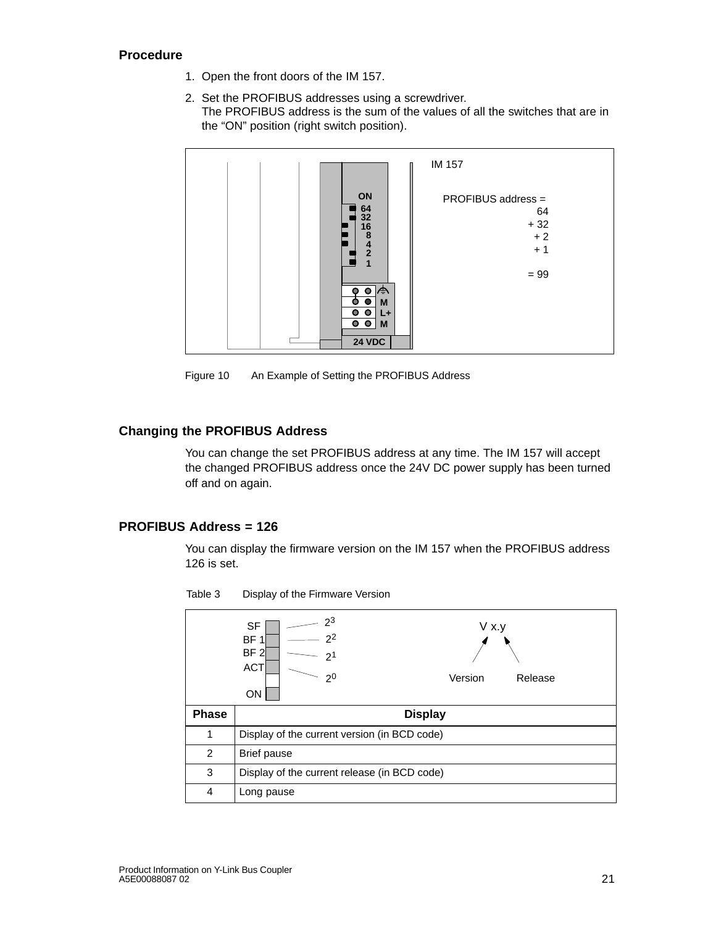#### **Procedure**

- 1. Open the front doors of the IM 157.
- 2. Set the PROFIBUS addresses using a screwdriver. The PROFIBUS address is the sum of the values of all the switches that are in the "ON" position (right switch position).



Figure 10 An Example of Setting the PROFIBUS Address

#### **Changing the PROFIBUS Address**

You can change the set PROFIBUS address at any time. The IM 157 will accept the changed PROFIBUS address once the 24V DC power supply has been turned off and on again.

#### **PROFIBUS Address = 126**

You can display the firmware version on the IM 157 when the PROFIBUS address 126 is set.

Table 3 Display of the Firmware Version

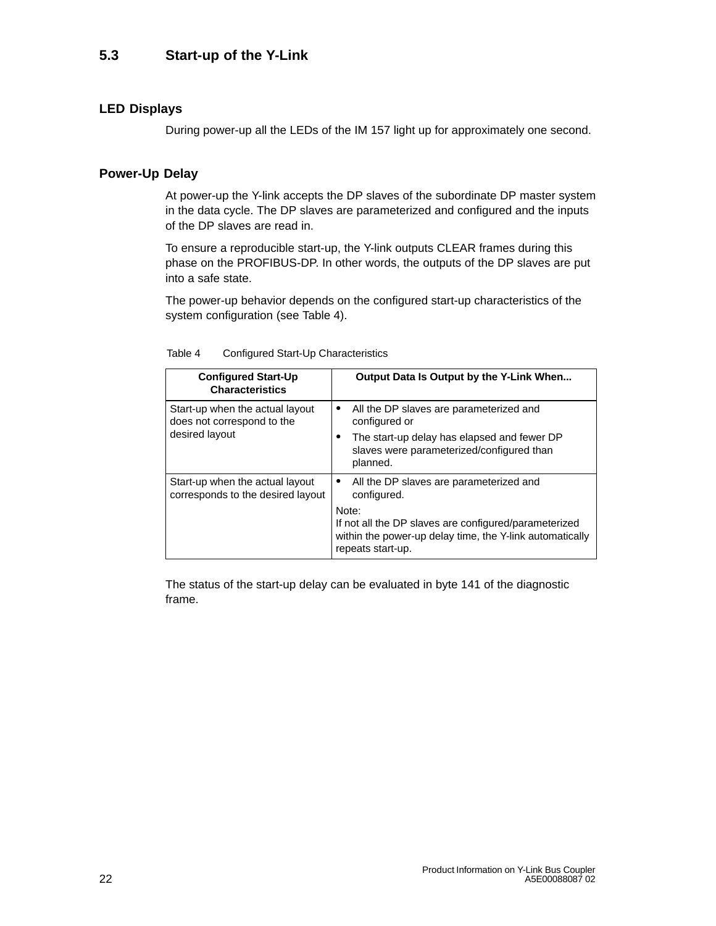### <span id="page-21-0"></span>**LED Displays**

During power-up all the LEDs of the IM 157 light up for approximately one second.

### **Power-Up Delay**

At power-up the Y-link accepts the DP slaves of the subordinate DP master system in the data cycle. The DP slaves are parameterized and configured and the inputs of the DP slaves are read in.

To ensure a reproducible start-up, the Y-link outputs CLEAR frames during this phase on the PROFIBUS-DP. In other words, the outputs of the DP slaves are put into a safe state.

The power-up behavior depends on the configured start-up characteristics of the system configuration (see Table 4).

| <b>Configured Start-Up</b><br><b>Characteristics</b>                            | Output Data Is Output by the Y-Link When                                                                                                        |
|---------------------------------------------------------------------------------|-------------------------------------------------------------------------------------------------------------------------------------------------|
| Start-up when the actual layout<br>does not correspond to the<br>desired layout | All the DP slaves are parameterized and<br>٠<br>configured or                                                                                   |
|                                                                                 | The start-up delay has elapsed and fewer DP<br>slaves were parameterized/configured than<br>planned.                                            |
| Start-up when the actual layout<br>corresponds to the desired layout            | All the DP slaves are parameterized and<br>٠<br>configured.                                                                                     |
|                                                                                 | Note:<br>If not all the DP slaves are configured/parameterized<br>within the power-up delay time, the Y-link automatically<br>repeats start-up. |

Table 4 Configured Start-Up Characteristics

The status of the start-up delay can be evaluated in byte 141 of the diagnostic frame.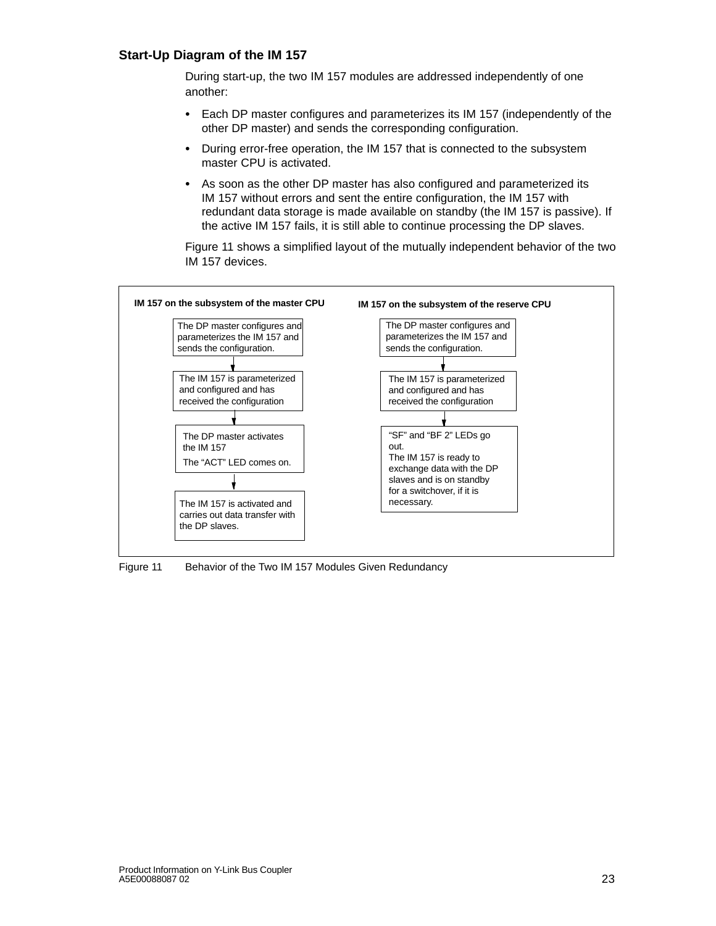#### **Start-Up Diagram of the IM 157**

During start-up, the two IM 157 modules are addressed independently of one another:

- Each DP master configures and parameterizes its IM 157 (independently of the other DP master) and sends the corresponding configuration.
- During error-free operation, the IM 157 that is connected to the subsystem master CPU is activated.
- As soon as the other DP master has also configured and parameterized its IM 157 without errors and sent the entire configuration, the IM 157 with redundant data storage is made available on standby (the IM 157 is passive). If the active IM 157 fails, it is still able to continue processing the DP slaves.

Figure 11 shows a simplified layout of the mutually independent behavior of the two IM 157 devices.



Figure 11 Behavior of the Two IM 157 Modules Given Redundancy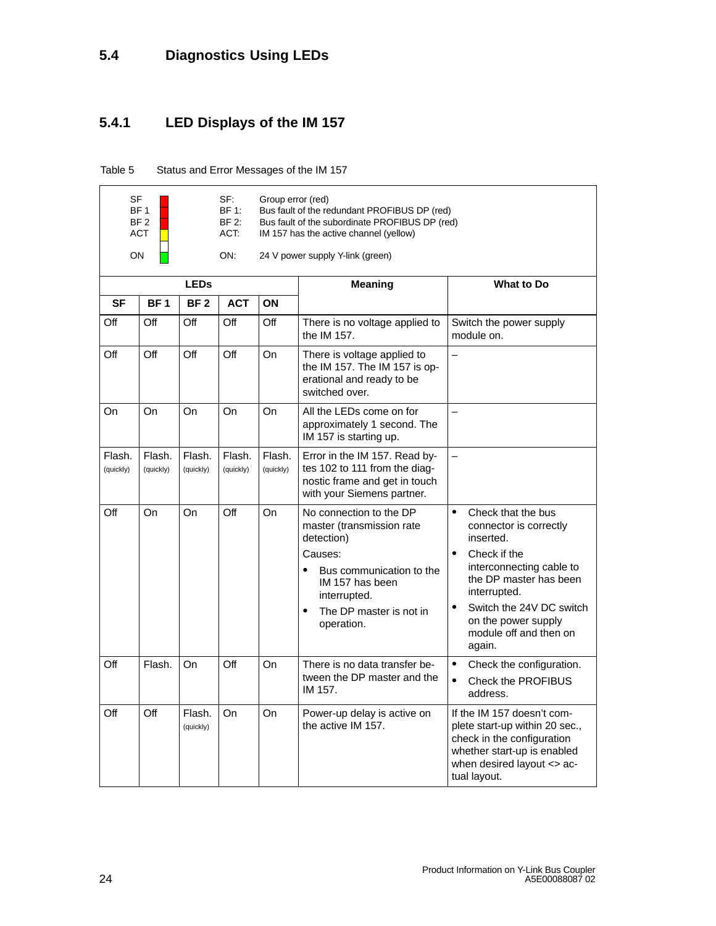# <span id="page-23-0"></span>**5.4 Diagnostics Using LEDs**

# **5.4.1 LED Displays of the IM 157**

Table 5 Status and Error Messages of the IM 157

| SF<br>SF:<br>BF <sub>1</sub><br><b>BF 1:</b><br>BF <sub>2</sub><br><b>BF 2:</b><br><b>ACT</b><br>ACT.<br>ON:<br>ON |                     | Group error (red)<br>Bus fault of the redundant PROFIBUS DP (red)<br>Bus fault of the subordinate PROFIBUS DP (red)<br>IM 157 has the active channel (yellow)<br>24 V power supply Y-link (green) |                     |                     |                                                                                                                                                                                                    |                                                                                                                                                                                                                                                                  |
|--------------------------------------------------------------------------------------------------------------------|---------------------|---------------------------------------------------------------------------------------------------------------------------------------------------------------------------------------------------|---------------------|---------------------|----------------------------------------------------------------------------------------------------------------------------------------------------------------------------------------------------|------------------------------------------------------------------------------------------------------------------------------------------------------------------------------------------------------------------------------------------------------------------|
|                                                                                                                    |                     | <b>LEDs</b>                                                                                                                                                                                       |                     |                     | <b>Meaning</b>                                                                                                                                                                                     | <b>What to Do</b>                                                                                                                                                                                                                                                |
| <b>SF</b>                                                                                                          | <b>BF1</b>          | <b>BF2</b>                                                                                                                                                                                        | <b>ACT</b>          | ON                  |                                                                                                                                                                                                    |                                                                                                                                                                                                                                                                  |
| Off                                                                                                                | Off                 | Off                                                                                                                                                                                               | Off                 | Off                 | There is no voltage applied to<br>the IM 157.                                                                                                                                                      | Switch the power supply<br>module on.                                                                                                                                                                                                                            |
| Off                                                                                                                | Off                 | Off                                                                                                                                                                                               | Off                 | On                  | There is voltage applied to<br>the IM 157. The IM 157 is op-<br>erational and ready to be<br>switched over.                                                                                        |                                                                                                                                                                                                                                                                  |
| On                                                                                                                 | On                  | On                                                                                                                                                                                                | On                  | On                  | All the LEDs come on for<br>approximately 1 second. The<br>IM 157 is starting up.                                                                                                                  | $\equiv$                                                                                                                                                                                                                                                         |
| Flash.<br>(quickly)                                                                                                | Flash.<br>(quickly) | Flash.<br>(quickly)                                                                                                                                                                               | Flash.<br>(quickly) | Flash.<br>(quickly) | Error in the IM 157. Read by-<br>tes 102 to 111 from the diag-<br>nostic frame and get in touch<br>with your Siemens partner.                                                                      | $\equiv$                                                                                                                                                                                                                                                         |
| Off                                                                                                                | On                  | On                                                                                                                                                                                                | Off                 | On                  | No connection to the DP<br>master (transmission rate<br>detection)<br>Causes:<br>Bus communication to the<br>IM 157 has been<br>interrupted.<br>The DP master is not in<br>$\bullet$<br>operation. | Check that the bus<br>$\bullet$<br>connector is correctly<br>inserted.<br>Check if the<br>$\bullet$<br>interconnecting cable to<br>the DP master has been<br>interrupted.<br>Switch the 24V DC switch<br>on the power supply<br>module off and then on<br>again. |
| Off                                                                                                                | Flash.              | On                                                                                                                                                                                                | Off                 | On                  | There is no data transfer be-<br>tween the DP master and the<br>IM 157.                                                                                                                            | $\bullet$<br>Check the configuration.<br><b>Check the PROFIBUS</b><br>$\bullet$<br>address.                                                                                                                                                                      |
| Off                                                                                                                | Off                 | Flash.<br>(quickly)                                                                                                                                                                               | On                  | On                  | Power-up delay is active on<br>the active IM 157.                                                                                                                                                  | If the IM 157 doesn't com-<br>plete start-up within 20 sec.,<br>check in the configuration<br>whether start-up is enabled<br>when desired layout <> ac-<br>tual layout.                                                                                          |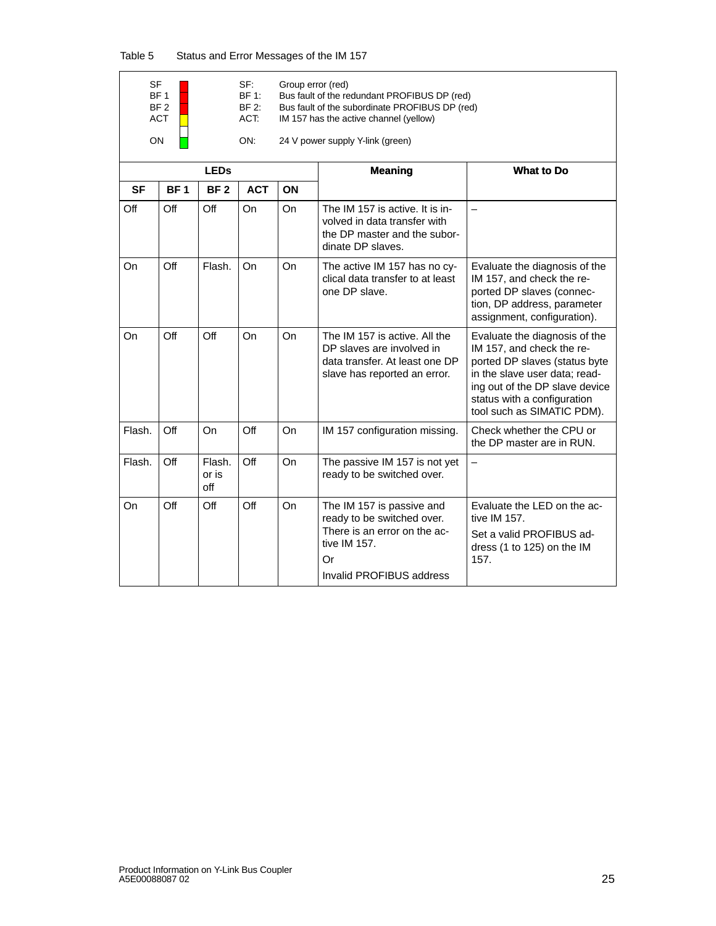Table 5 Status and Error Messages of the IM 157



| SF:   | Group error (red)                             |
|-------|-----------------------------------------------|
| BF 1: | Bus fault of the redundant PROFIBUS DP (red)  |
| BF 2: | Bus fault of the subordinate PROFIBUS DP (red |

- BF 2: Bus fault of the subordinate PROFIBUS DP (red)<br>ACT: IM 157 has the active channel (yellow) IM 157 has the active channel (yellow)
- 

ON: 24 V power supply Y-link (green)

| <b>LEDs</b> |             |                        |            |    | <b>Meaning</b>                                                                                                                            | <b>What to Do</b>                                                                                                                                                                                                           |
|-------------|-------------|------------------------|------------|----|-------------------------------------------------------------------------------------------------------------------------------------------|-----------------------------------------------------------------------------------------------------------------------------------------------------------------------------------------------------------------------------|
| <b>SF</b>   | <b>BF1</b>  | <b>BF2</b>             | <b>ACT</b> | ON |                                                                                                                                           |                                                                                                                                                                                                                             |
| Off         | $\Omega$ ff | Off                    | On         | On | The IM 157 is active. It is in-<br>volved in data transfer with<br>the DP master and the subor-<br>dinate DP slaves.                      | $\overline{\phantom{0}}$                                                                                                                                                                                                    |
| On          | Off         | Flash.                 | On         | On | The active IM 157 has no cy-<br>clical data transfer to at least<br>one DP slave.                                                         | Evaluate the diagnosis of the<br>IM 157, and check the re-<br>ported DP slaves (connec-<br>tion, DP address, parameter<br>assignment, configuration).                                                                       |
| On          | $\Omega$ ff | $\Omega$ ff            | On         | On | The IM 157 is active. All the<br>DP slaves are involved in<br>data transfer. At least one DP<br>slave has reported an error.              | Evaluate the diagnosis of the<br>IM 157, and check the re-<br>ported DP slaves (status byte<br>in the slave user data; read-<br>ing out of the DP slave device<br>status with a configuration<br>tool such as SIMATIC PDM). |
| Flash.      | $\Omega$ ff | On                     | Off        | On | IM 157 configuration missing.                                                                                                             | Check whether the CPU or<br>the DP master are in RUN.                                                                                                                                                                       |
| Flash.      | Off         | Flash.<br>or is<br>off | Off        | On | The passive IM 157 is not yet<br>ready to be switched over.                                                                               |                                                                                                                                                                                                                             |
| On          | Off         | Off                    | Off        | On | The IM 157 is passive and<br>ready to be switched over.<br>There is an error on the ac-<br>tive IM 157.<br>Or<br>Invalid PROFIBUS address | Evaluate the LED on the ac-<br>tive IM 157.<br>Set a valid PROFIBUS ad-<br>dress $(1 to 125)$ on the IM<br>157.                                                                                                             |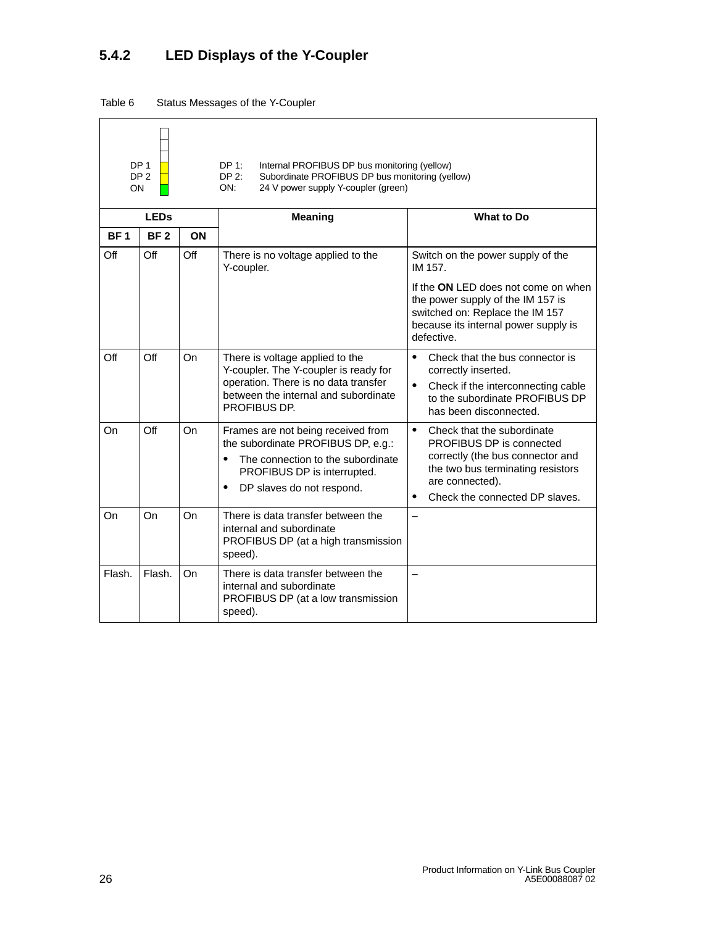# **5.4.2 LED Displays of the Y-Coupler**

| Table 6 | Status Messages of the Y-Coupler |
|---------|----------------------------------|
|---------|----------------------------------|

| ON         | DP <sub>1</sub><br>DP <sub>2</sub> |     | DP 1:<br>Internal PROFIBUS DP bus monitoring (yellow)<br>$DP2$ :<br>Subordinate PROFIBUS DP bus monitoring (yellow)<br>24 V power supply Y-coupler (green)<br>ON:                      |                                                                                                                                                                                                                |
|------------|------------------------------------|-----|----------------------------------------------------------------------------------------------------------------------------------------------------------------------------------------|----------------------------------------------------------------------------------------------------------------------------------------------------------------------------------------------------------------|
|            | <b>LEDs</b>                        |     | <b>Meaning</b><br><b>What to Do</b>                                                                                                                                                    |                                                                                                                                                                                                                |
| <b>BF1</b> | <b>BF2</b>                         | ON  |                                                                                                                                                                                        |                                                                                                                                                                                                                |
| Off        | Off                                | Off | There is no voltage applied to the<br>Y-coupler.                                                                                                                                       | Switch on the power supply of the<br>IM 157.                                                                                                                                                                   |
|            |                                    |     |                                                                                                                                                                                        | If the ON LED does not come on when<br>the power supply of the IM 157 is<br>switched on: Replace the IM 157<br>because its internal power supply is<br>defective.                                              |
| Off        | Off                                | On  | There is voltage applied to the<br>Y-coupler. The Y-coupler is ready for<br>operation. There is no data transfer<br>between the internal and subordinate<br>PROFIBUS DP.               | $\bullet$<br>Check that the bus connector is<br>correctly inserted.<br>$\bullet$<br>Check if the interconnecting cable<br>to the subordinate PROFIBUS DP<br>has been disconnected.                             |
| On         | $\Omega$ ff                        | On  | Frames are not being received from<br>the subordinate PROFIBUS DP, e.g.:<br>The connection to the subordinate<br>$\bullet$<br>PROFIBUS DP is interrupted.<br>DP slaves do not respond. | $\bullet$<br>Check that the subordinate<br>PROFIBUS DP is connected<br>correctly (the bus connector and<br>the two bus terminating resistors<br>are connected).<br>Check the connected DP slaves.<br>$\bullet$ |
| On         | On                                 | On  | There is data transfer between the<br>internal and subordinate<br>PROFIBUS DP (at a high transmission<br>speed).                                                                       | $\equiv$                                                                                                                                                                                                       |
| Flash.     | Flash.                             | On  | There is data transfer between the<br>internal and subordinate<br>PROFIBUS DP (at a low transmission<br>speed).                                                                        |                                                                                                                                                                                                                |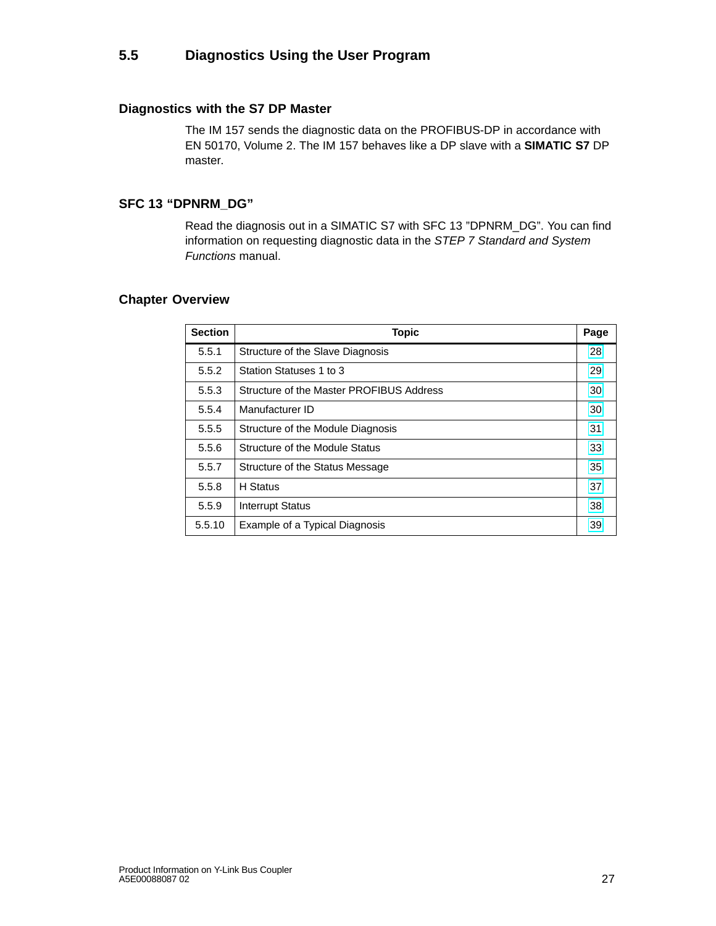# <span id="page-26-0"></span>**5.5 Diagnostics Using the User Program**

#### **Diagnostics with the S7 DP Master**

The IM 157 sends the diagnostic data on the PROFIBUS-DP in accordance with EN 50170, Volume 2. The IM 157 behaves like a DP slave with a **SIMATIC S7** DP master.

#### **SFC 13 "DPNRM\_DG"**

Read the diagnosis out in a SIMATIC S7 with SFC 13 "DPNRM\_DG". You can find information on requesting diagnostic data in the *STEP 7 Standard and System Functions* manual.

#### **Chapter Overview**

| <b>Section</b> | <b>Topic</b>                             | Page |
|----------------|------------------------------------------|------|
| 5.5.1          | Structure of the Slave Diagnosis         | 28   |
| 5.5.2          | Station Statuses 1 to 3                  | 29   |
| 5.5.3          | Structure of the Master PROFIBUS Address | 30   |
| 5.5.4          | Manufacturer ID                          | 30   |
| 5.5.5          | Structure of the Module Diagnosis        | 31   |
| 5.5.6          | Structure of the Module Status           | 33   |
| 5.5.7          | Structure of the Status Message          | 35   |
| 5.5.8          | H Status                                 | 37   |
| 5.5.9          | <b>Interrupt Status</b>                  | 38   |
| 5.5.10         | Example of a Typical Diagnosis           | 39   |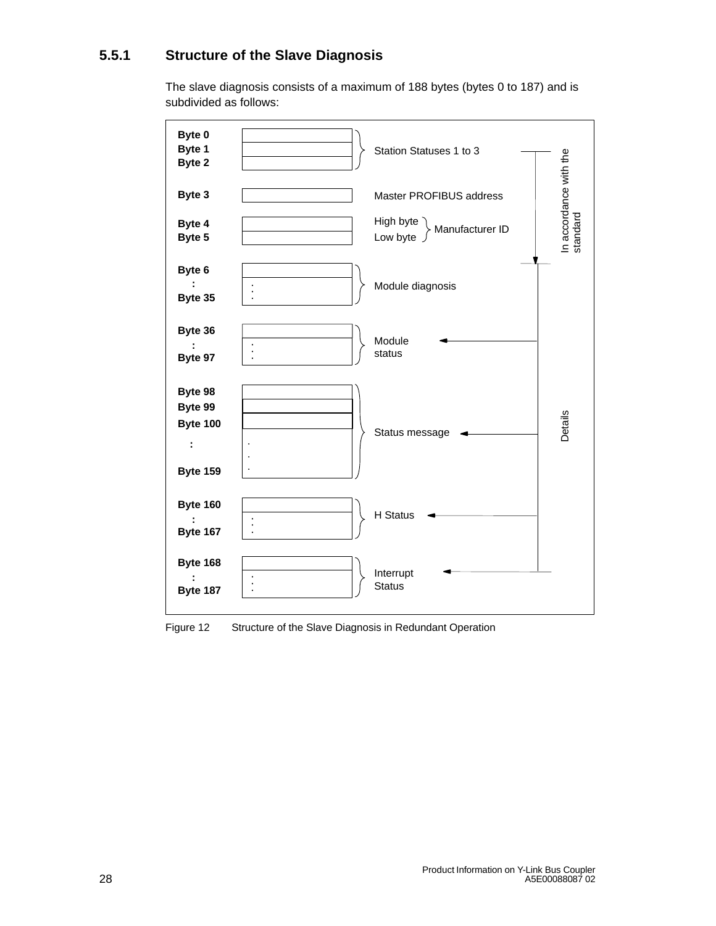# <span id="page-27-0"></span>**5.5.1 Structure of the Slave Diagnosis**

The slave diagnosis consists of a maximum of 188 bytes (bytes 0 to 187) and is subdivided as follows:



Figure 12 Structure of the Slave Diagnosis in Redundant Operation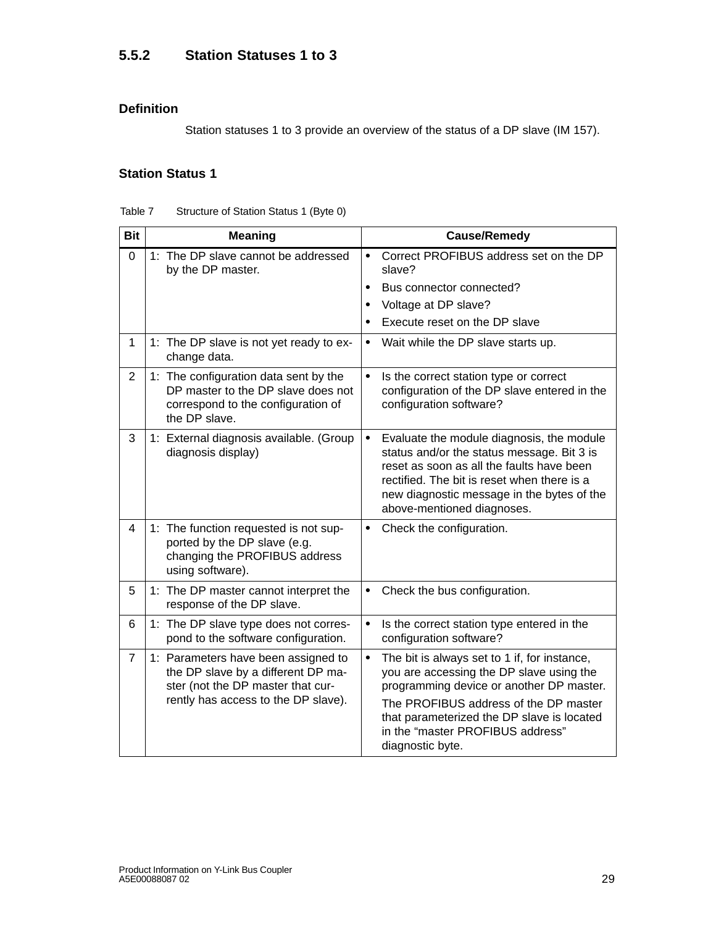#### <span id="page-28-1"></span><span id="page-28-0"></span>**Definition**

Station statuses 1 to 3 provide an overview of the status of a DP slave (IM 157).

### **Station Status 1**

| Table 7 | Structure of Station Status 1 (Byte 0) |  |
|---------|----------------------------------------|--|
|---------|----------------------------------------|--|

| <b>Bit</b>     | <b>Meaning</b>                                                                                                                                        | <b>Cause/Remedy</b>                                                                                                                                                                                                                                                                              |
|----------------|-------------------------------------------------------------------------------------------------------------------------------------------------------|--------------------------------------------------------------------------------------------------------------------------------------------------------------------------------------------------------------------------------------------------------------------------------------------------|
| 0              | 1: The DP slave cannot be addressed<br>by the DP master.                                                                                              | Correct PROFIBUS address set on the DP<br>$\bullet$<br>slave?                                                                                                                                                                                                                                    |
|                |                                                                                                                                                       | Bus connector connected?<br>$\bullet$                                                                                                                                                                                                                                                            |
|                |                                                                                                                                                       | Voltage at DP slave?<br>٠                                                                                                                                                                                                                                                                        |
|                |                                                                                                                                                       | Execute reset on the DP slave                                                                                                                                                                                                                                                                    |
| 1              | 1: The DP slave is not yet ready to ex-<br>change data.                                                                                               | Wait while the DP slave starts up.<br>$\bullet$                                                                                                                                                                                                                                                  |
| 2              | 1: The configuration data sent by the<br>DP master to the DP slave does not<br>correspond to the configuration of<br>the DP slave.                    | Is the correct station type or correct<br>$\bullet$<br>configuration of the DP slave entered in the<br>configuration software?                                                                                                                                                                   |
| 3              | 1: External diagnosis available. (Group<br>diagnosis display)                                                                                         | Evaluate the module diagnosis, the module<br>$\bullet$<br>status and/or the status message. Bit 3 is<br>reset as soon as all the faults have been<br>rectified. The bit is reset when there is a<br>new diagnostic message in the bytes of the<br>above-mentioned diagnoses.                     |
| 4              | 1: The function requested is not sup-<br>ported by the DP slave (e.g.<br>changing the PROFIBUS address<br>using software).                            | Check the configuration.<br>$\bullet$                                                                                                                                                                                                                                                            |
| 5              | 1: The DP master cannot interpret the<br>response of the DP slave.                                                                                    | Check the bus configuration.<br>$\bullet$                                                                                                                                                                                                                                                        |
| 6              | 1: The DP slave type does not corres-<br>pond to the software configuration.                                                                          | Is the correct station type entered in the<br>$\bullet$<br>configuration software?                                                                                                                                                                                                               |
| $\overline{7}$ | 1: Parameters have been assigned to<br>the DP slave by a different DP ma-<br>ster (not the DP master that cur-<br>rently has access to the DP slave). | The bit is always set to 1 if, for instance,<br>$\bullet$<br>you are accessing the DP slave using the<br>programming device or another DP master.<br>The PROFIBUS address of the DP master<br>that parameterized the DP slave is located<br>in the "master PROFIBUS address"<br>diagnostic byte. |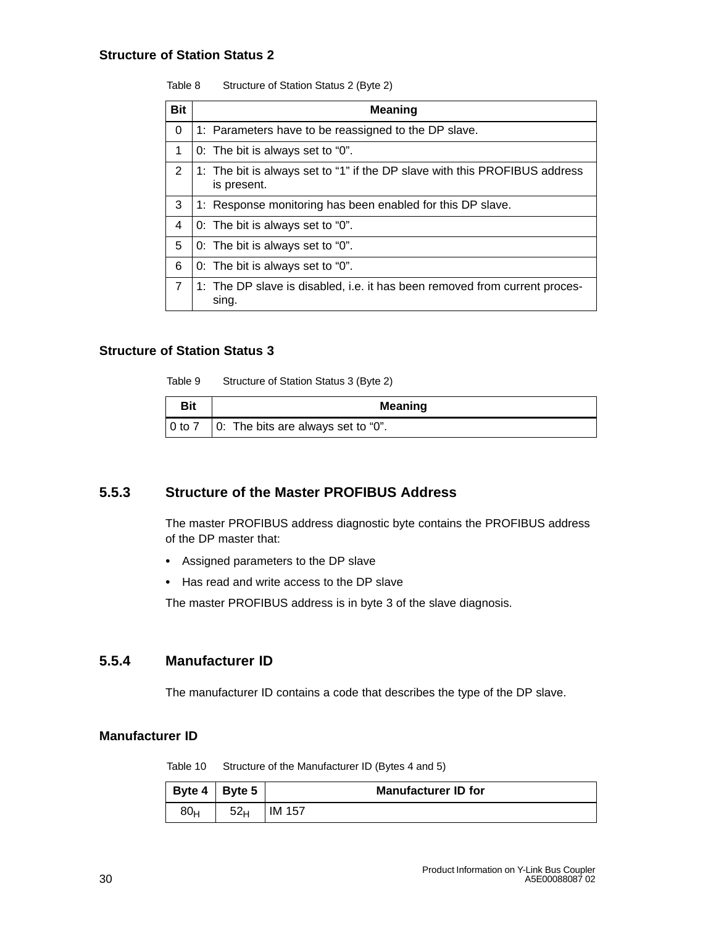### <span id="page-29-0"></span>**Structure of Station Status 2**

| <b>Bit</b> | <b>Meaning</b>                                                                            |
|------------|-------------------------------------------------------------------------------------------|
| 0          | 1: Parameters have to be reassigned to the DP slave.                                      |
| 1          | 0: The bit is always set to "0".                                                          |
| 2          | 1: The bit is always set to "1" if the DP slave with this PROFIBUS address<br>is present. |
| 3          | 1: Response monitoring has been enabled for this DP slave.                                |
| 4          | 0. The bit is always set to "0".                                                          |
| 5          | 0: The bit is always set to "0".                                                          |
| 6          | 0: The bit is always set to "0".                                                          |
| 7          | 1: The DP slave is disabled, i.e. it has been removed from current proces-<br>sing.       |

#### Table 8 Structure of Station Status 2 (Byte 2)

#### **Structure of Station Status 3**

Table 9 Structure of Station Status 3 (Byte 2)

| Bit | Meaning                                                    |
|-----|------------------------------------------------------------|
|     | $\vert 0$ to 7 $\vert 0$ : The bits are always set to "0". |

### **5.5.3 Structure of the Master PROFIBUS Address**

The master PROFIBUS address diagnostic byte contains the PROFIBUS address of the DP master that:

- Assigned parameters to the DP slave
- Has read and write access to the DP slave

The master PROFIBUS address is in byte 3 of the slave diagnosis.

### **5.5.4 Manufacturer ID**

The manufacturer ID contains a code that describes the type of the DP slave.

#### **Manufacturer ID**

Table 10 Structure of the Manufacturer ID (Bytes 4 and 5)

|                 | Byte $4 \mid$ Byte 5 | <b>Manufacturer ID for</b> |
|-----------------|----------------------|----------------------------|
| 80 <sub>H</sub> | 52 <sub>H</sub>      | <b>IM 157</b>              |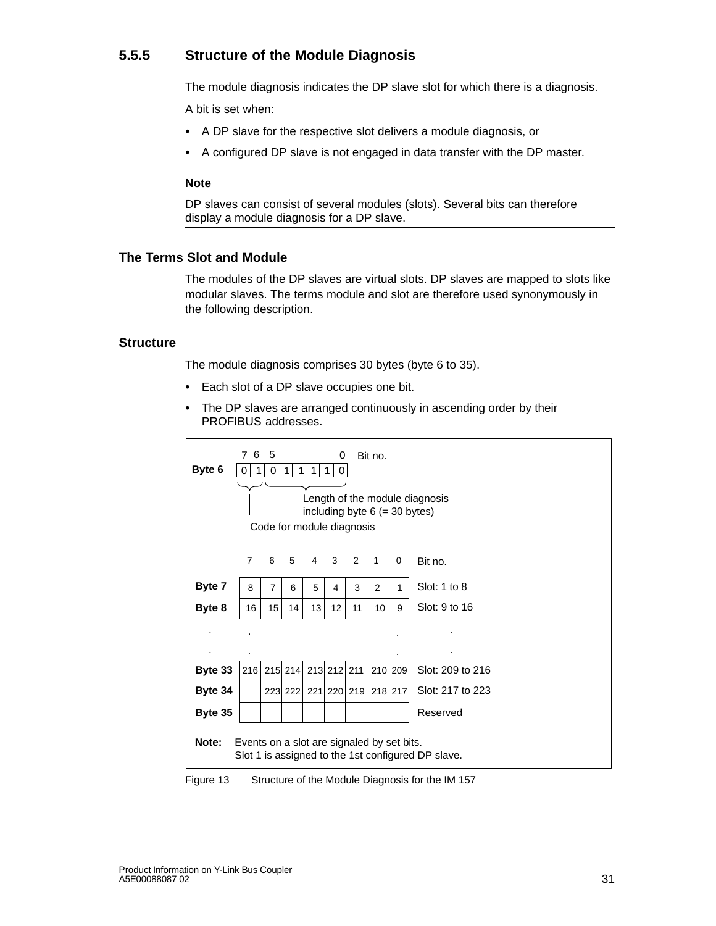# <span id="page-30-0"></span>**5.5.5 Structure of the Module Diagnosis**

The module diagnosis indicates the DP slave slot for which there is a diagnosis.

A bit is set when:

- A DP slave for the respective slot delivers a module diagnosis, or
- A configured DP slave is not engaged in data transfer with the DP master.

#### **Note**

DP slaves can consist of several modules (slots). Several bits can therefore display a module diagnosis for a DP slave.

#### **The Terms Slot and Module**

The modules of the DP slaves are virtual slots. DP slaves are mapped to slots like modular slaves. The terms module and slot are therefore used synonymously in the following description.

#### **Structure**

The module diagnosis comprises 30 bytes (byte 6 to 35).

- Each slot of a DP slave occupies one bit.
- The DP slaves are arranged continuously in ascending order by their PROFIBUS addresses.



Figure 13 Structure of the Module Diagnosis for the IM 157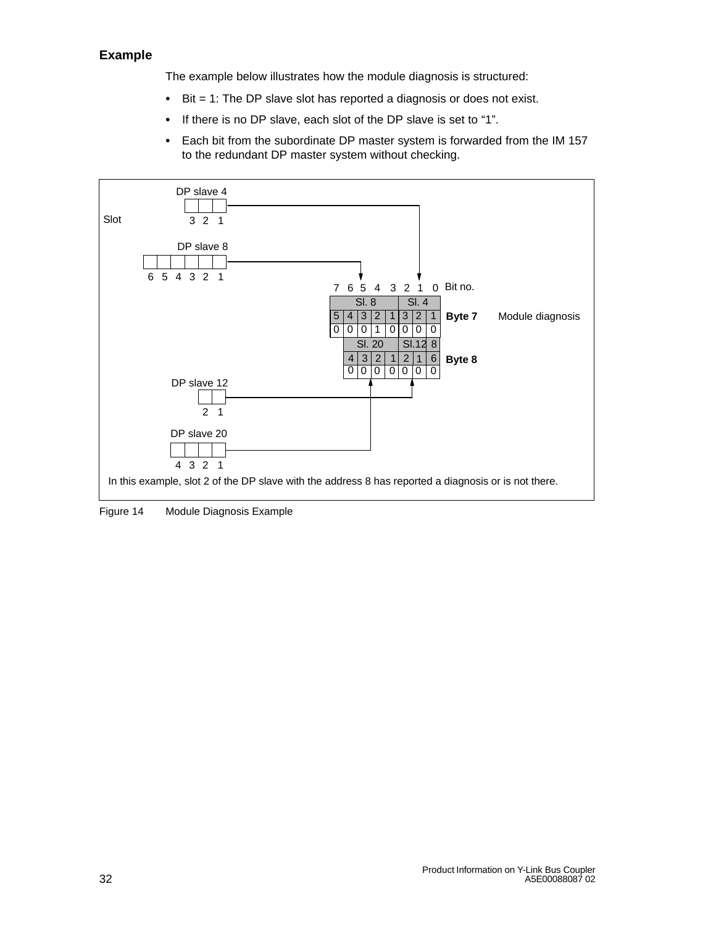### **Example**

The example below illustrates how the module diagnosis is structured:

- Bit = 1: The DP slave slot has reported a diagnosis or does not exist.
- If there is no DP slave, each slot of the DP slave is set to "1".
- Each bit from the subordinate DP master system is forwarded from the IM 157 to the redundant DP master system without checking.



Figure 14 Module Diagnosis Example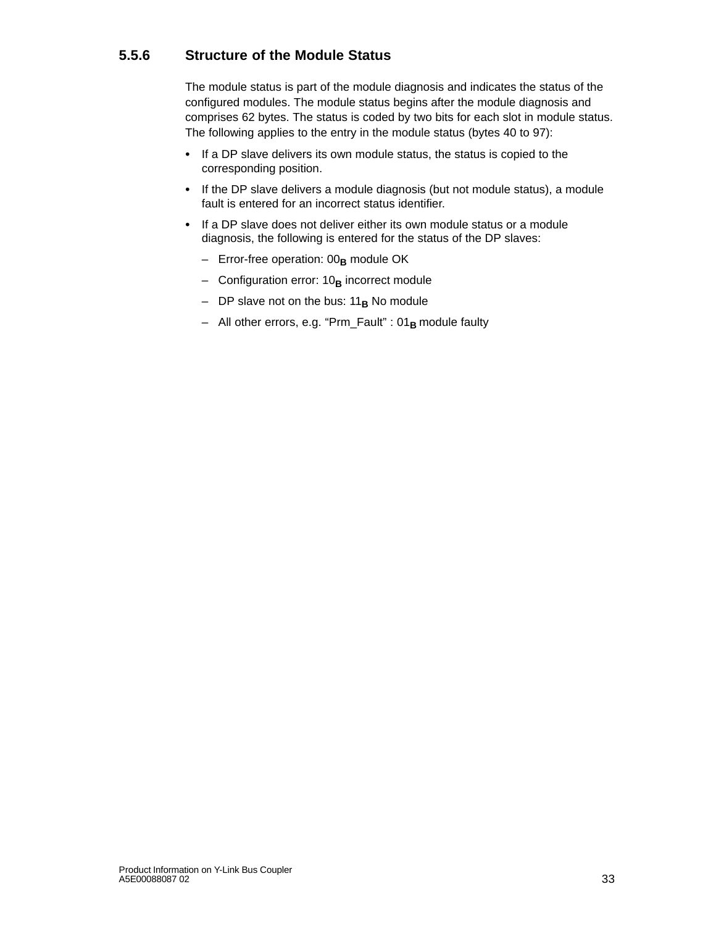# <span id="page-32-0"></span>**5.5.6 Structure of the Module Status**

The module status is part of the module diagnosis and indicates the status of the configured modules. The module status begins after the module diagnosis and comprises 62 bytes. The status is coded by two bits for each slot in module status. The following applies to the entry in the module status (bytes 40 to 97):

- If a DP slave delivers its own module status, the status is copied to the corresponding position.
- If the DP slave delivers a module diagnosis (but not module status), a module fault is entered for an incorrect status identifier.
- If a DP slave does not deliver either its own module status or a module diagnosis, the following is entered for the status of the DP slaves:
	- Error-free operation: 00<sub>B</sub> module OK
	- Configuration error: 10<sub>B</sub> incorrect module
	- DP slave not on the bus: 11<sub>B</sub> No module
	- All other errors, e.g. "Prm\_Fault" : 01<sub>B</sub> module faulty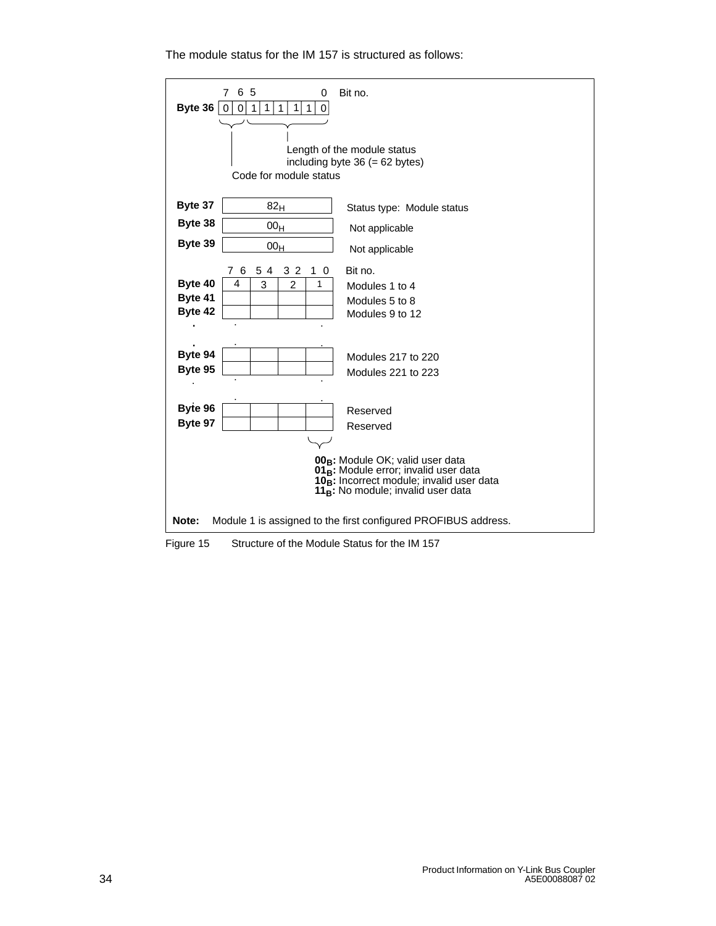The module status for the IM 157 is structured as follows:



Figure 15 Structure of the Module Status for the IM 157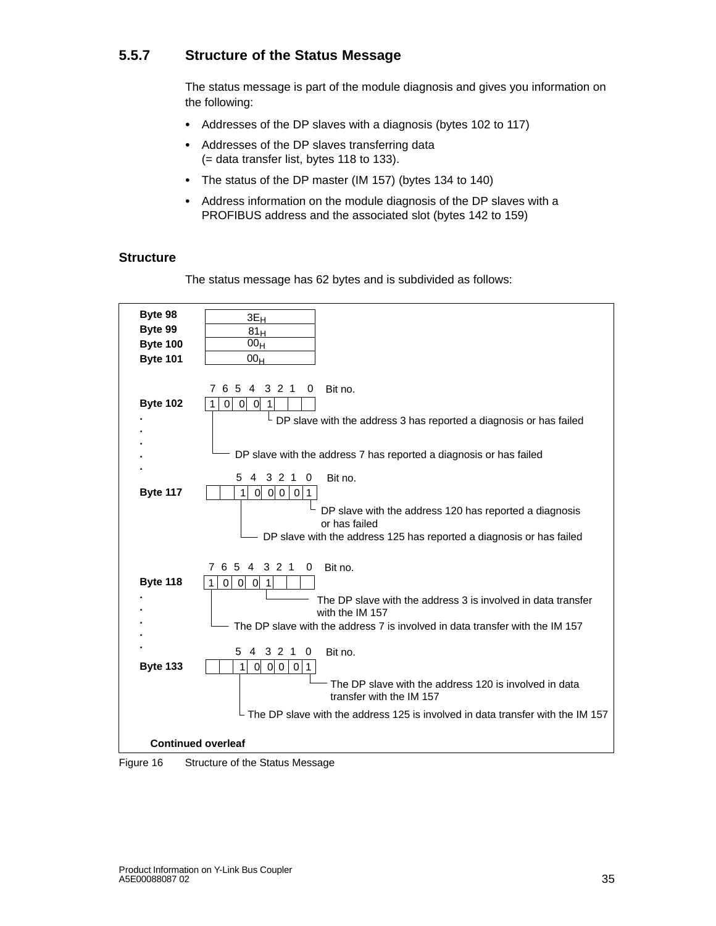# <span id="page-34-0"></span>**5.5.7 Structure of the Status Message**

The status message is part of the module diagnosis and gives you information on the following:

- Addresses of the DP slaves with a diagnosis (bytes 102 to 117)
- Addresses of the DP slaves transferring data (= data transfer list, bytes 118 to 133).
- The status of the DP master (IM 157) (bytes 134 to 140)
- Address information on the module diagnosis of the DP slaves with a PROFIBUS address and the associated slot (bytes 142 to 159)

#### **Structure**

The status message has 62 bytes and is subdivided as follows:

| Byte 98<br>3E <sub>H</sub><br>Byte 99<br>81 <sub>H</sub><br>00 <sub>H</sub><br><b>Byte 100</b><br><b>Byte 101</b><br>00 <sub>H</sub>                                                                                                                                                                                                                                                                                                                                                                                                                                                      |  |
|-------------------------------------------------------------------------------------------------------------------------------------------------------------------------------------------------------------------------------------------------------------------------------------------------------------------------------------------------------------------------------------------------------------------------------------------------------------------------------------------------------------------------------------------------------------------------------------------|--|
| Bit no.<br>65<br>4<br>321<br>0<br>7<br><b>Byte 102</b><br>$\overline{0}$<br>$0$ 0 1<br>1<br>DP slave with the address 3 has reported a diagnosis or has failed<br>DP slave with the address 7 has reported a diagnosis or has failed<br>Bit no.<br>4 3 2 1<br>0<br>5<br><b>Byte 117</b><br>$\begin{bmatrix} 0 \\ 0 \\ 0 \\ 1 \end{bmatrix}$<br>1<br>DP slave with the address 120 has reported a diagnosis<br>or has failed<br>DP slave with the address 125 has reported a diagnosis or has failed                                                                                       |  |
| Bit no.<br>3 2 1<br>7654<br>0<br><b>Byte 118</b><br>$0\vert$ 0 $\vert$ 1<br>$\overline{0}$<br>1<br>The DP slave with the address 3 is involved in data transfer<br>with the IM 157<br>The DP slave with the address 7 is involved in data transfer with the IM 157<br>5<br>4 3 2 1 0<br>Bit no.<br><b>Byte 133</b><br>$\begin{bmatrix} 0 \\ 0 \\ 0 \end{bmatrix}$ $\begin{bmatrix} 0 \\ 1 \\ 1 \end{bmatrix}$<br>1<br>The DP slave with the address 120 is involved in data<br>transfer with the IM 157<br>The DP slave with the address 125 is involved in data transfer with the IM 157 |  |
| <b>Continued overleaf</b>                                                                                                                                                                                                                                                                                                                                                                                                                                                                                                                                                                 |  |

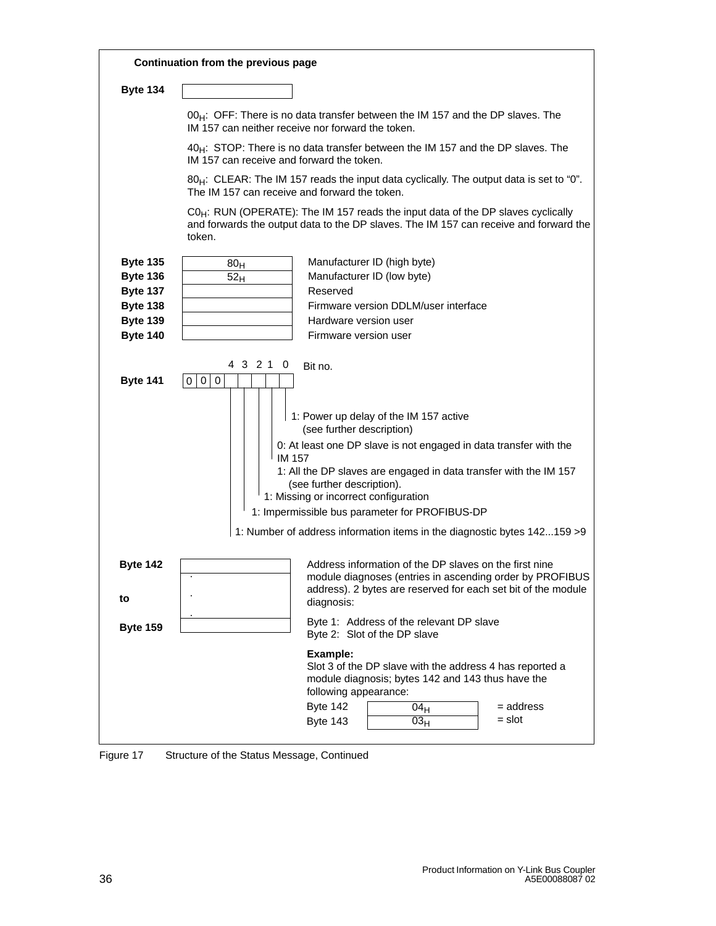| Continuation from the previous page |                                                                                                                                                                                                                                                                                                                                                                                                                                                                       |  |  |
|-------------------------------------|-----------------------------------------------------------------------------------------------------------------------------------------------------------------------------------------------------------------------------------------------------------------------------------------------------------------------------------------------------------------------------------------------------------------------------------------------------------------------|--|--|
| <b>Byte 134</b>                     |                                                                                                                                                                                                                                                                                                                                                                                                                                                                       |  |  |
|                                     | $00_H$ : OFF: There is no data transfer between the IM 157 and the DP slaves. The<br>IM 157 can neither receive nor forward the token.                                                                                                                                                                                                                                                                                                                                |  |  |
|                                     | 40 <sub>H</sub> : STOP: There is no data transfer between the IM 157 and the DP slaves. The<br>IM 157 can receive and forward the token.                                                                                                                                                                                                                                                                                                                              |  |  |
|                                     | $80H$ : CLEAR: The IM 157 reads the input data cyclically. The output data is set to "0".<br>The IM 157 can receive and forward the token.                                                                                                                                                                                                                                                                                                                            |  |  |
|                                     | $COH$ : RUN (OPERATE): The IM 157 reads the input data of the DP slaves cyclically<br>and forwards the output data to the DP slaves. The IM 157 can receive and forward the<br>token.                                                                                                                                                                                                                                                                                 |  |  |
| <b>Byte 135</b>                     | Manufacturer ID (high byte)<br>80 <sub>H</sub>                                                                                                                                                                                                                                                                                                                                                                                                                        |  |  |
| <b>Byte 136</b>                     | Manufacturer ID (low byte)<br>52 <sub>H</sub>                                                                                                                                                                                                                                                                                                                                                                                                                         |  |  |
| <b>Byte 137</b>                     | Reserved<br>Firmware version DDLM/user interface                                                                                                                                                                                                                                                                                                                                                                                                                      |  |  |
| <b>Byte 138</b><br><b>Byte 139</b>  | Hardware version user                                                                                                                                                                                                                                                                                                                                                                                                                                                 |  |  |
| <b>Byte 140</b>                     | Firmware version user                                                                                                                                                                                                                                                                                                                                                                                                                                                 |  |  |
| <b>Byte 141</b>                     | 4321<br>0<br>Bit no.<br>0 0 0<br>1: Power up delay of the IM 157 active<br>(see further description)<br>0: At least one DP slave is not engaged in data transfer with the<br><b>IM 157</b><br>1: All the DP slaves are engaged in data transfer with the IM 157<br>(see further description).<br>1: Missing or incorrect configuration<br>1: Impermissible bus parameter for PROFIBUS-DP<br>1: Number of address information items in the diagnostic bytes 142159 > 9 |  |  |
| <b>Byte 142</b><br>to               | Address information of the DP slaves on the first nine<br>module diagnoses (entries in ascending order by PROFIBUS<br>address). 2 bytes are reserved for each set bit of the module<br>diagnosis:                                                                                                                                                                                                                                                                     |  |  |
| <b>Byte 159</b>                     | Byte 1: Address of the relevant DP slave<br>Byte 2: Slot of the DP slave                                                                                                                                                                                                                                                                                                                                                                                              |  |  |
|                                     | Example:<br>Slot 3 of the DP slave with the address 4 has reported a<br>module diagnosis; bytes 142 and 143 thus have the<br>following appearance:<br><b>Byte 142</b><br>$=$ address<br>04 <sub>H</sub><br>$=$ slot<br><b>Byte 143</b><br>$\overline{03}_{\text{H}}$                                                                                                                                                                                                  |  |  |

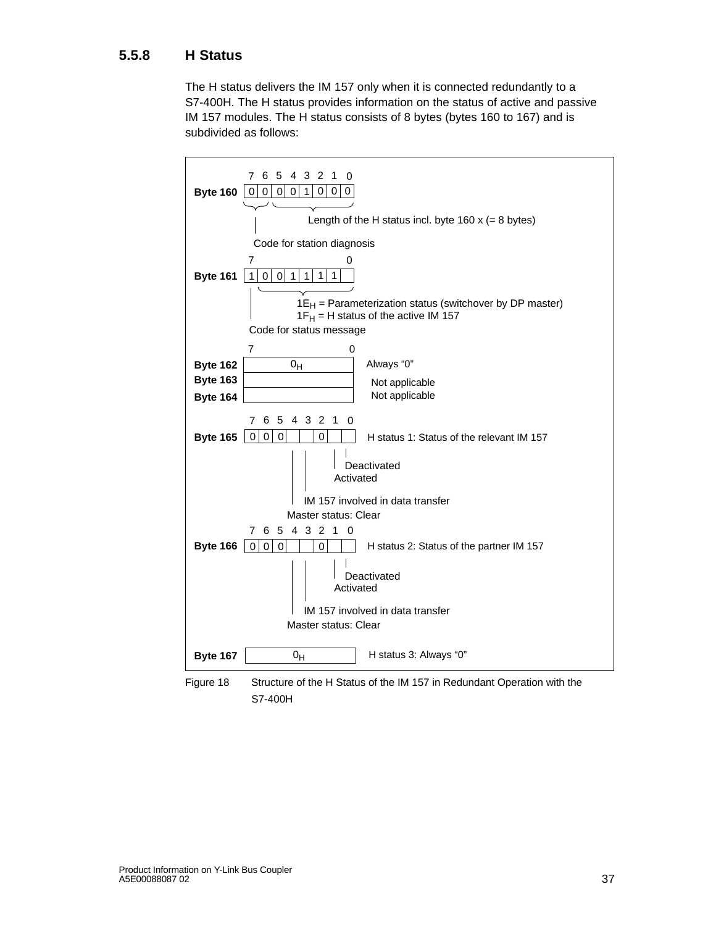# <span id="page-36-0"></span>**5.5.8 H Status**

The H status delivers the IM 157 only when it is connected redundantly to a S7-400H. The H status provides information on the status of active and passive IM 157 modules. The H status consists of 8 bytes (bytes 160 to 167) and is subdivided as follows:



Figure 18 Structure of the H Status of the IM 157 in Redundant Operation with the S7-400H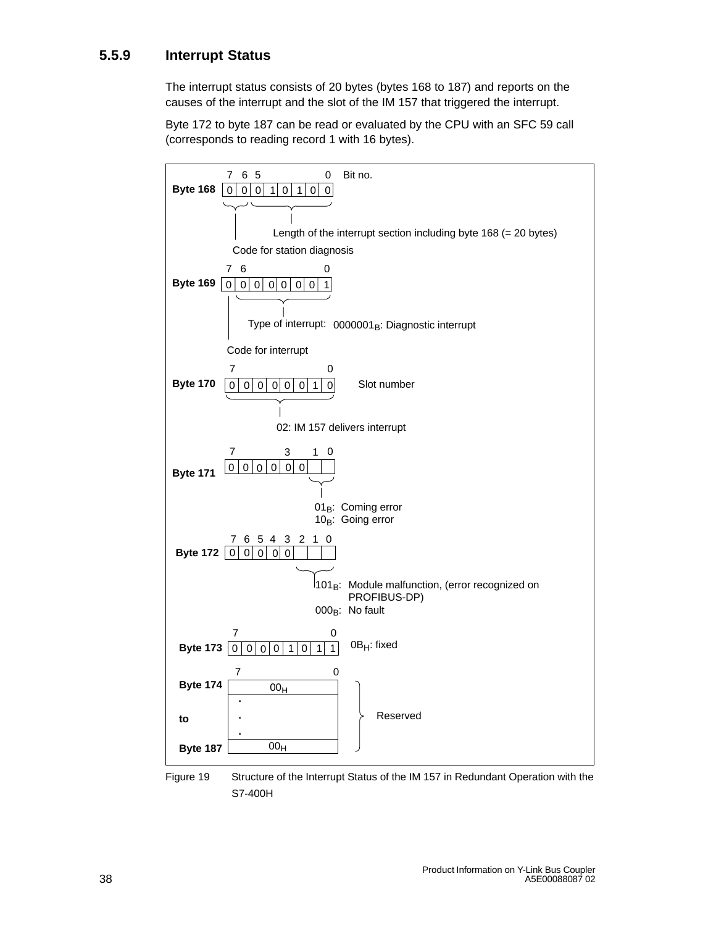# <span id="page-37-0"></span>**5.5.9 Interrupt Status**

The interrupt status consists of 20 bytes (bytes 168 to 187) and reports on the causes of the interrupt and the slot of the IM 157 that triggered the interrupt.

Byte 172 to byte 187 can be read or evaluated by the CPU with an SFC 59 call (corresponds to reading record 1 with 16 bytes).



Figure 19 Structure of the Interrupt Status of the IM 157 in Redundant Operation with the S7-400H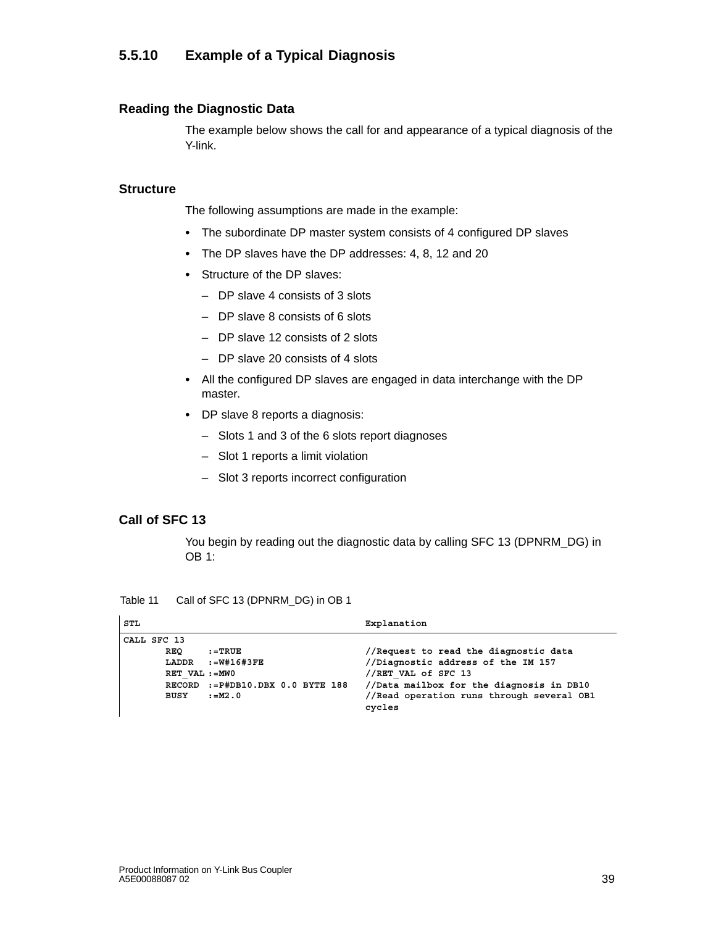# <span id="page-38-0"></span>**5.5.10 Example of a Typical Diagnosis**

#### **Reading the Diagnostic Data**

The example below shows the call for and appearance of a typical diagnosis of the Y-link.

#### **Structure**

The following assumptions are made in the example:

- The subordinate DP master system consists of 4 configured DP slaves
- The DP slaves have the DP addresses: 4, 8, 12 and 20
- Structure of the DP slaves:
	- DP slave 4 consists of 3 slots
	- DP slave 8 consists of 6 slots
	- DP slave 12 consists of 2 slots
	- DP slave 20 consists of 4 slots
- All the configured DP slaves are engaged in data interchange with the DP master.
- DP slave 8 reports a diagnosis:
	- Slots 1 and 3 of the 6 slots report diagnoses
	- Slot 1 reports a limit violation
	- Slot 3 reports incorrect configuration

#### **Call of SFC 13**

You begin by reading out the diagnostic data by calling SFC 13 (DPNRM\_DG) in OB 1:

Table 11 Call of SFC 13 (DPNRM\_DG) in OB 1

| STL |              |                                   | Explanation                                         |
|-----|--------------|-----------------------------------|-----------------------------------------------------|
|     | CALL SFC 13  |                                   |                                                     |
|     | REO          | :=TRUE                            | //Request to read the diagnostic data               |
|     | LADDR        | :=W#16#3FE                        | //Diagnostic address of the IM 157                  |
|     | RET VAL:=MW0 |                                   | //RET VAL of SFC 13                                 |
|     |              | RECORD := P#DB10.DBX 0.0 BYTE 188 | //Data mailbox for the diagnosis in DB10            |
|     | BUSY         | $:=M2.0$                          | //Read operation runs through several OB1<br>cycles |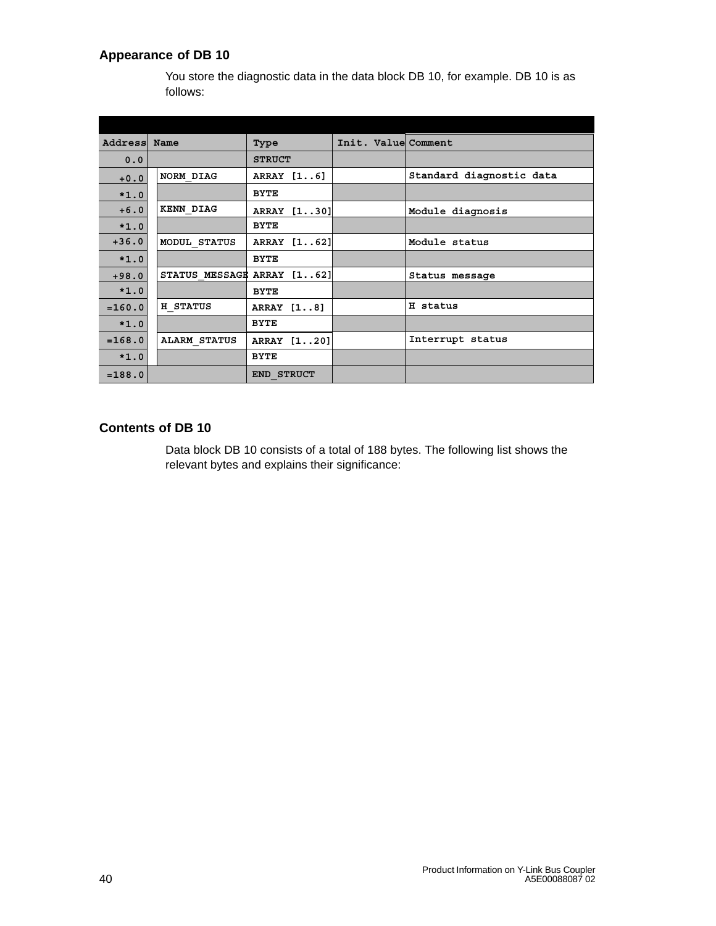# **Appearance of DB 10**

| Address   | Name                       | Type          | Init. Value Comment |                          |
|-----------|----------------------------|---------------|---------------------|--------------------------|
| 0.0       |                            | <b>STRUCT</b> |                     |                          |
| $+0.0$    | NORM DIAG                  | ARRAY [16]    |                     | Standard diagnostic data |
| $*1.0$    |                            | <b>BYTE</b>   |                     |                          |
| $+6.0$    | <b>KENN DIAG</b>           | ARRAY [130]   |                     | Module diagnosis         |
| $*1.0$    |                            | <b>BYTE</b>   |                     |                          |
| $+36.0$   | MODUL STATUS               | ARRAY [162]   |                     | Module status            |
| $*1.0$    |                            | <b>BYTE</b>   |                     |                          |
| $+98.0$   | STATUS MESSAGE ARRAY [162] |               |                     | Status message           |
| $*1.0$    |                            | <b>BYTE</b>   |                     |                          |
| $=160.0$  | <b>H STATUS</b>            | ARRAY [18]    |                     | H status                 |
| $*1.0$    |                            | <b>BYTE</b>   |                     |                          |
| $=168.0$  | <b>ALARM STATUS</b>        | ARRAY [120]   |                     | Interrupt status         |
| $*1.0$    |                            | <b>BYTE</b>   |                     |                          |
| $= 188.0$ |                            | END STRUCT    |                     |                          |

You store the diagnostic data in the data block DB 10, for example. DB 10 is as follows:

### **Contents of DB 10**

Data block DB 10 consists of a total of 188 bytes. The following list shows the relevant bytes and explains their significance: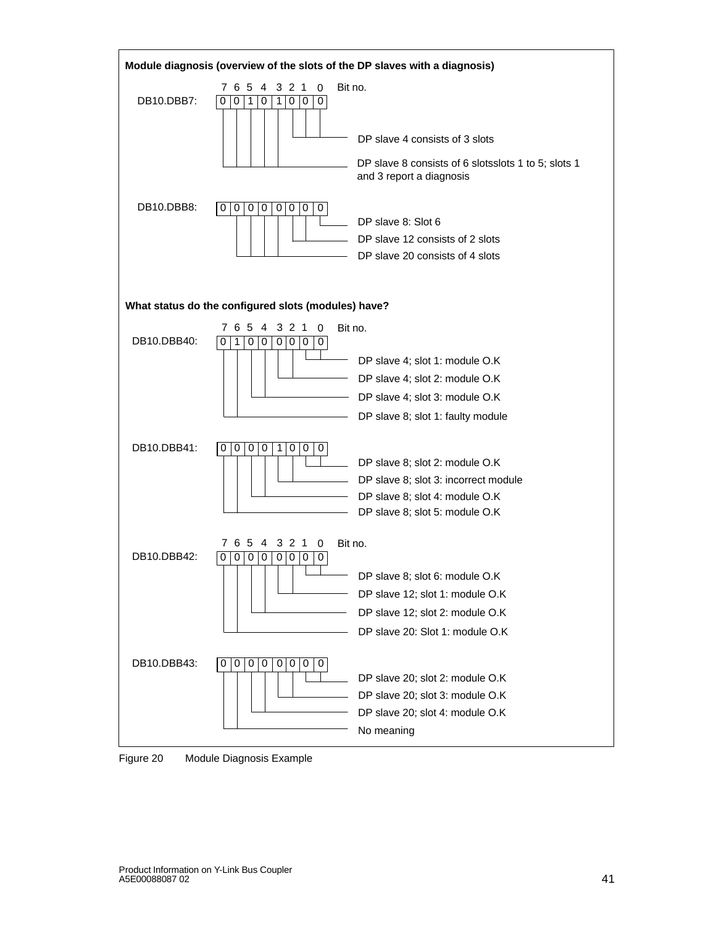

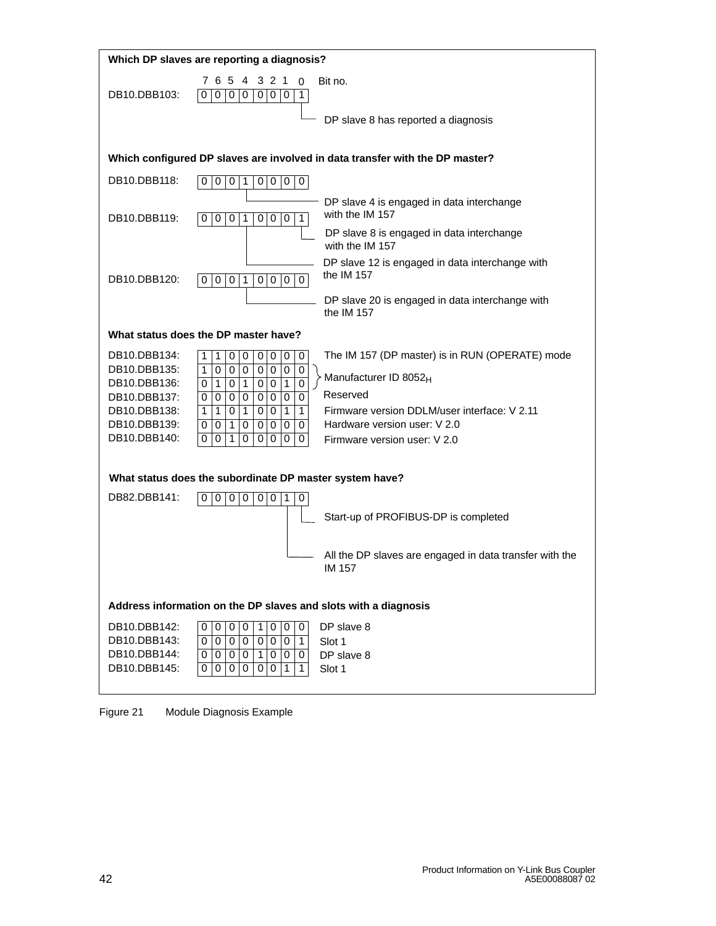| Which DP slaves are reporting a diagnosis?                                                                                                                                                                                                                                                                                                                                                                                      |                                                                                                                                                                                                                                                                                                                          |  |  |
|---------------------------------------------------------------------------------------------------------------------------------------------------------------------------------------------------------------------------------------------------------------------------------------------------------------------------------------------------------------------------------------------------------------------------------|--------------------------------------------------------------------------------------------------------------------------------------------------------------------------------------------------------------------------------------------------------------------------------------------------------------------------|--|--|
| 65<br>3 2 1<br>4<br>7.<br>DB10.DBB103:<br>$\mathbf 0$<br>$\overline{0}$<br>$\overline{0}$<br>0<br>0<br>0                                                                                                                                                                                                                                                                                                                        | Bit no.<br>0<br>0<br>$\mathbf{1}$                                                                                                                                                                                                                                                                                        |  |  |
|                                                                                                                                                                                                                                                                                                                                                                                                                                 | DP slave 8 has reported a diagnosis                                                                                                                                                                                                                                                                                      |  |  |
|                                                                                                                                                                                                                                                                                                                                                                                                                                 | Which configured DP slaves are involved in data transfer with the DP master?                                                                                                                                                                                                                                             |  |  |
| DB10.DBB118:<br>0<br>$\mathbf{1}$<br>$\overline{0}$<br>0<br>0<br>0                                                                                                                                                                                                                                                                                                                                                              | $\overline{0}$<br>0                                                                                                                                                                                                                                                                                                      |  |  |
| DB10.DBB119:<br>$0\vert$ 1<br>$\overline{0}$<br>0<br>0<br>0                                                                                                                                                                                                                                                                                                                                                                     | DP slave 4 is engaged in data interchange<br>with the IM 157<br>0<br>1                                                                                                                                                                                                                                                   |  |  |
|                                                                                                                                                                                                                                                                                                                                                                                                                                 | DP slave 8 is engaged in data interchange<br>with the IM 157                                                                                                                                                                                                                                                             |  |  |
| DB10.DBB120:<br>$\mathbf{1}$<br>$\overline{0}$<br>0<br>0<br>0<br>0                                                                                                                                                                                                                                                                                                                                                              | DP slave 12 is engaged in data interchange with<br>the IM 157<br>$\overline{0}$<br>$\overline{0}$                                                                                                                                                                                                                        |  |  |
|                                                                                                                                                                                                                                                                                                                                                                                                                                 | DP slave 20 is engaged in data interchange with<br>the $IM$ 157                                                                                                                                                                                                                                                          |  |  |
| What status does the DP master have?                                                                                                                                                                                                                                                                                                                                                                                            |                                                                                                                                                                                                                                                                                                                          |  |  |
| DB10.DBB134:<br>0<br>0<br>1<br>1<br>0<br>0<br>$\overline{0}$<br>$\overline{0}$<br>DB10.DBB135:<br>0<br>$\mathbf 0$<br>$\Omega$<br>$\mathbf{1}$<br>$\mathbf{1}$<br>0<br>$\mathbf{1}$<br>DB10.DBB136:<br>0<br>$\mathbf 0$<br>0<br>DB10.DBB137:<br>0<br>0<br>0<br>0<br>0<br>0<br>DB10.DBB138:<br>1<br>0<br>$\mathbf{1}$<br>0<br>1<br>0<br>DB10.DBB139:<br>0<br>0<br>1<br>0<br>0<br>0<br>DB10.DBB140:<br>0<br>0<br>1<br>0<br>0<br>0 | The IM 157 (DP master) is in RUN (OPERATE) mode<br>0<br>0<br>$\mathbf 0$<br>0<br>Manufacturer ID 8052 <sub>H</sub><br>$\overline{\mathfrak{o}}$<br>1<br>Reserved<br>0<br>0<br>Firmware version DDLM/user interface: V 2.11<br>1<br>1<br>Hardware version user: V 2.0<br>0<br>0<br>0<br>0<br>Firmware version user: V 2.0 |  |  |
| What status does the subordinate DP master system have?                                                                                                                                                                                                                                                                                                                                                                         |                                                                                                                                                                                                                                                                                                                          |  |  |
| DB82.DBB141:<br>0<br>0<br>0<br>$\overline{0}$<br>0 0                                                                                                                                                                                                                                                                                                                                                                            | 0<br>1                                                                                                                                                                                                                                                                                                                   |  |  |
|                                                                                                                                                                                                                                                                                                                                                                                                                                 | Start-up of PROFIBUS-DP is completed                                                                                                                                                                                                                                                                                     |  |  |
|                                                                                                                                                                                                                                                                                                                                                                                                                                 | All the DP slaves are engaged in data transfer with the<br>IM 157                                                                                                                                                                                                                                                        |  |  |
| Address information on the DP slaves and slots with a diagnosis                                                                                                                                                                                                                                                                                                                                                                 |                                                                                                                                                                                                                                                                                                                          |  |  |
| DB10.DBB142:<br>0<br>0<br>0 0 <br>1 0<br>DB10.DBB143:<br>$\mathbf 0$<br>$\overline{0}$<br>0 <sup>10</sup><br>0<br>0<br>DB10.DBB144:<br>0<br>$\overline{0}$<br>0<br>$\overline{0}$<br>1 0<br>DB10.DBB145:<br>$\overline{0}$<br>0 0<br>$\Omega$<br>$\Omega$<br>0                                                                                                                                                                  | DP slave 8<br>0<br>10 I<br>$\mathbf 0$<br>1.<br>Slot 1<br>l 0 l<br>0<br>DP slave 8<br>Slot 1<br>$\mathbf{1}$<br>1.                                                                                                                                                                                                       |  |  |

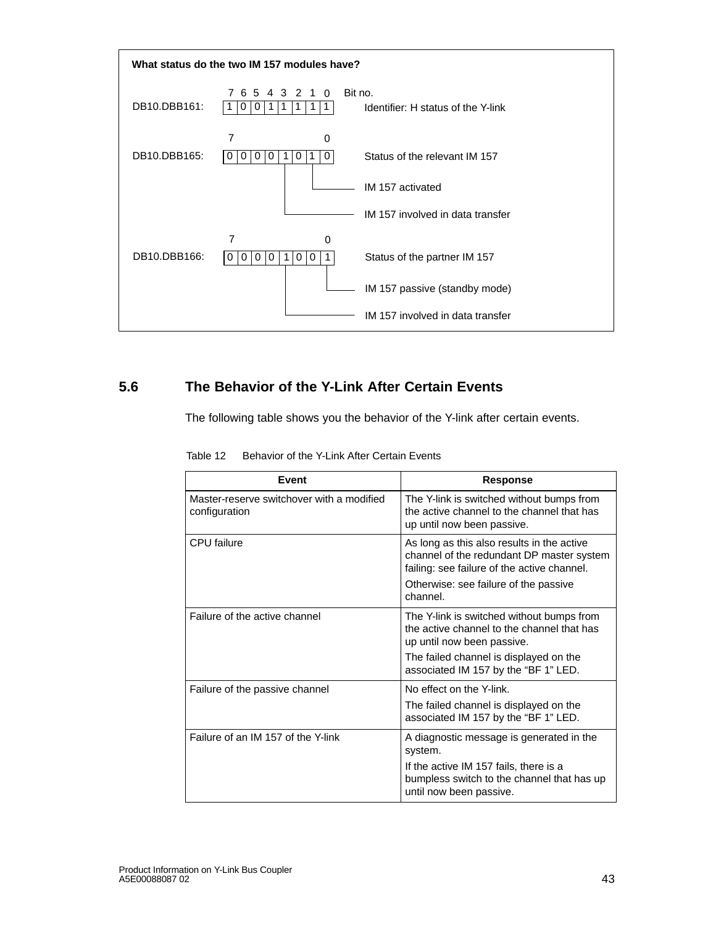<span id="page-42-0"></span>

## **5.6 The Behavior of the Y-Link After Certain Events**

The following table shows you the behavior of the Y-link after certain events.

| Event                                                      | <b>Response</b>                                                                                                                        |  |
|------------------------------------------------------------|----------------------------------------------------------------------------------------------------------------------------------------|--|
| Master-reserve switchover with a modified<br>configuration | The Y-link is switched without bumps from<br>the active channel to the channel that has<br>up until now been passive.                  |  |
| CPU failure                                                | As long as this also results in the active<br>channel of the redundant DP master system<br>failing: see failure of the active channel. |  |
|                                                            | Otherwise: see failure of the passive<br>channel.                                                                                      |  |
| Failure of the active channel                              | The Y-link is switched without bumps from<br>the active channel to the channel that has<br>up until now been passive.                  |  |
|                                                            | The failed channel is displayed on the<br>associated IM 157 by the "BF 1" LED.                                                         |  |
| Failure of the passive channel                             | No effect on the Y-link.                                                                                                               |  |
|                                                            | The failed channel is displayed on the<br>associated IM 157 by the "BF 1" LED.                                                         |  |
| Failure of an IM 157 of the Y-link                         | A diagnostic message is generated in the<br>system.                                                                                    |  |
|                                                            | If the active IM 157 fails, there is a<br>bumpless switch to the channel that has up<br>until now been passive.                        |  |

Table 12 Behavior of the Y-Link After Certain Events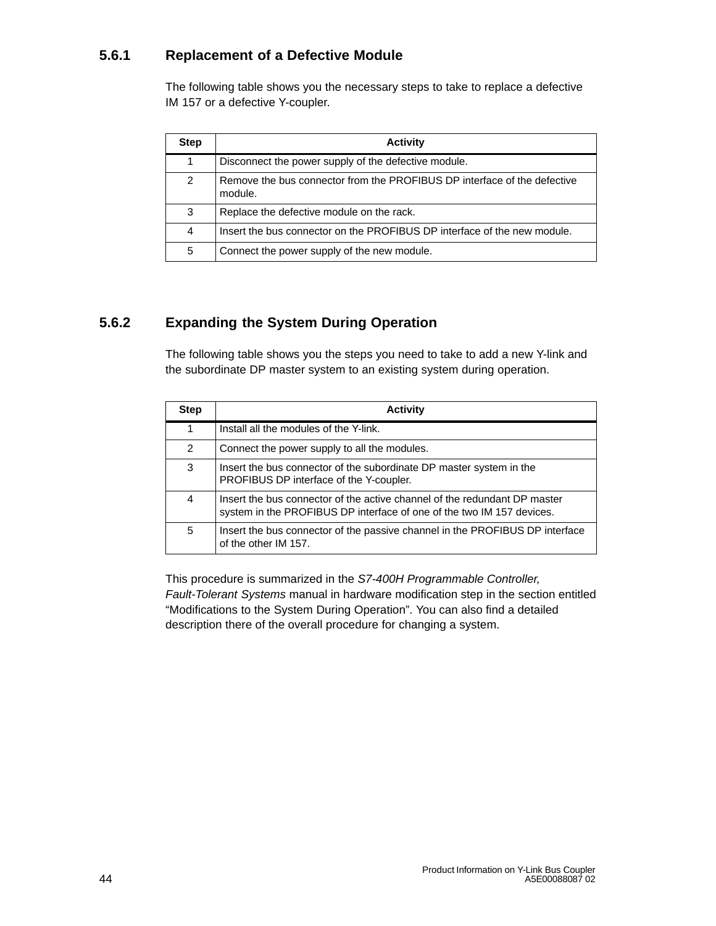# **5.6.1 Replacement of a Defective Module**

The following table shows you the necessary steps to take to replace a defective IM 157 or a defective Y-coupler.

| <b>Step</b> | <b>Activity</b>                                                                     |
|-------------|-------------------------------------------------------------------------------------|
| 1           | Disconnect the power supply of the defective module.                                |
| 2           | Remove the bus connector from the PROFIBUS DP interface of the defective<br>module. |
| 3           | Replace the defective module on the rack.                                           |
| 4           | Insert the bus connector on the PROFIBUS DP interface of the new module.            |
| 5           | Connect the power supply of the new module.                                         |

# **5.6.2 Expanding the System During Operation**

The following table shows you the steps you need to take to add a new Y-link and the subordinate DP master system to an existing system during operation.

| <b>Step</b> | <b>Activity</b>                                                                                                                                    |
|-------------|----------------------------------------------------------------------------------------------------------------------------------------------------|
| 1           | Install all the modules of the Y-link.                                                                                                             |
| 2           | Connect the power supply to all the modules.                                                                                                       |
| 3           | Insert the bus connector of the subordinate DP master system in the<br>PROFIBUS DP interface of the Y-coupler.                                     |
| 4           | Insert the bus connector of the active channel of the redundant DP master<br>system in the PROFIBUS DP interface of one of the two IM 157 devices. |
| 5           | Insert the bus connector of the passive channel in the PROFIBUS DP interface<br>of the other IM 157.                                               |

This procedure is summarized in the *S7-400H Programmable Controller, Fault-Tolerant Systems* manual in hardware modification step in the section entitled "Modifications to the System During Operation". You can also find a detailed description there of the overall procedure for changing a system.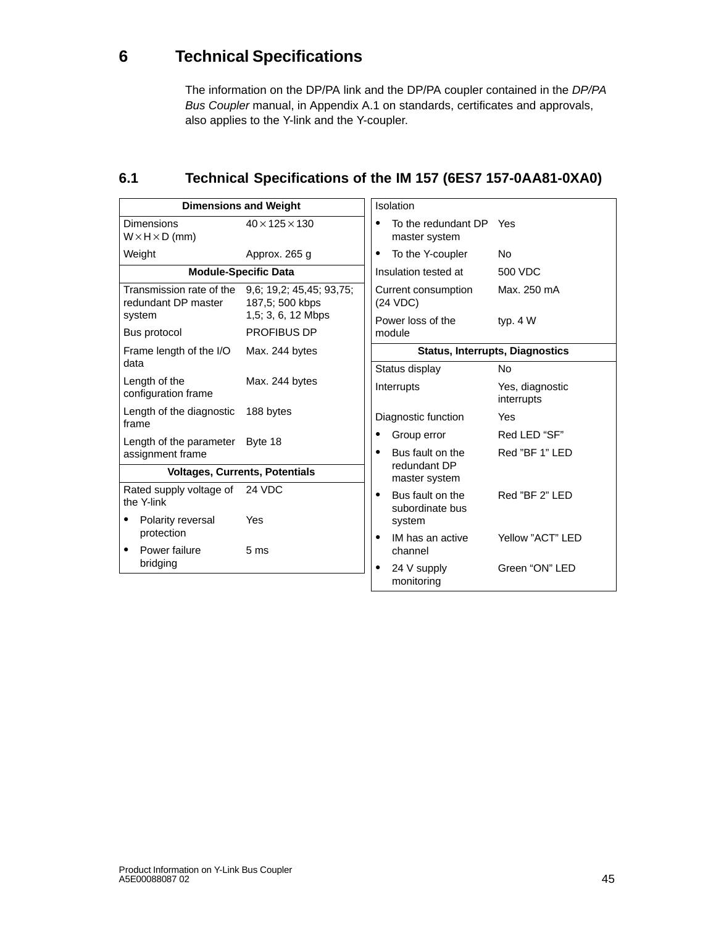# <span id="page-44-1"></span><span id="page-44-0"></span>**6 Technical Specifications**

The information on the DP/PA link and the DP/PA coupler contained in the *DP/PA Bus Coupler* manual, in Appendix A.1 on standards, certificates and approvals, also applies to the Y-link and the Y-coupler.

# **6.1 Technical Specifications of the IM 157 (6ES7 157-0AA81-0XA0)**

|                                                                          | <b>Dimensions and Weight</b>             | Isolation                                             |                                        |  |
|--------------------------------------------------------------------------|------------------------------------------|-------------------------------------------------------|----------------------------------------|--|
| <b>Dimensions</b><br>$W \times H \times D$ (mm)                          | $40 \times 125 \times 130$               | To the redundant DP Yes<br>$\bullet$<br>master system |                                        |  |
| Weight                                                                   | Approx. 265 g                            | To the Y-coupler<br>٠                                 | <b>No</b>                              |  |
|                                                                          | <b>Module-Specific Data</b>              | Insulation tested at                                  | 500 VDC                                |  |
| Transmission rate of the 9,6; 19,2; 45,45; 93,75;<br>redundant DP master | 187,5; 500 kbps                          | Current consumption<br>(24 VDC)                       | Max. 250 mA                            |  |
| system                                                                   | 1,5; 3, 6, 12 Mbps<br><b>PROFIBUS DP</b> | Power loss of the                                     | typ. $4 W$                             |  |
| Bus protocol                                                             |                                          | module                                                |                                        |  |
| Frame length of the I/O                                                  | Max. 244 bytes                           |                                                       | <b>Status, Interrupts, Diagnostics</b> |  |
| data                                                                     |                                          | Status display                                        | <b>No</b>                              |  |
| Length of the<br>configuration frame                                     | Max. 244 bytes                           | Interrupts                                            | Yes, diagnostic<br>interrupts          |  |
| Length of the diagnostic<br>frame                                        | 188 bytes                                | Diagnostic function                                   | Yes                                    |  |
| Length of the parameter Byte 18                                          |                                          | Group error                                           | Red LED "SF"                           |  |
| assignment frame                                                         |                                          | Bus fault on the<br>$\bullet$                         | Red "BF 1" LED                         |  |
| <b>Voltages, Currents, Potentials</b>                                    |                                          | redundant DP<br>master system                         |                                        |  |
| 24 VDC<br>Rated supply voltage of<br>the Y-link                          |                                          | Bus fault on the<br>$\bullet$<br>subordinate bus      | Red "BF 2" LED                         |  |
| Polarity reversal<br>٠                                                   | Yes                                      | system                                                |                                        |  |
| protection<br>Power failure<br>$\bullet$                                 | 5 <sub>ms</sub>                          | IM has an active<br>$\bullet$<br>channel              | Yellow "ACT" LED                       |  |
| bridging                                                                 |                                          | 24 V supply<br>monitoring                             | Green "ON" LED                         |  |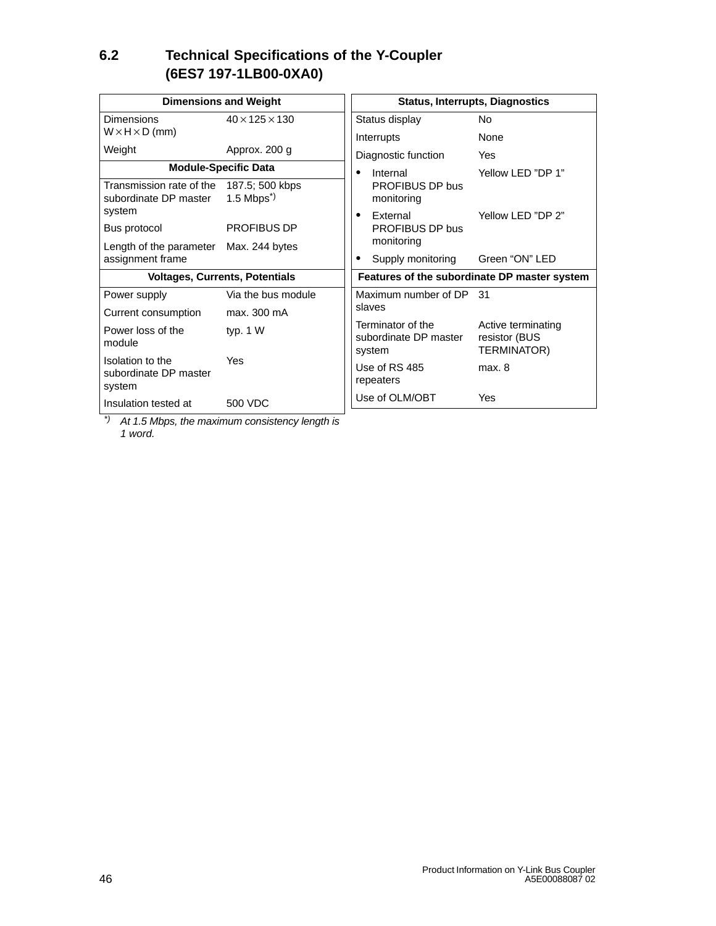# **6.2 Technical Specifications of the Y-Coupler (6ES7 197-1LB00-0XA0)**

| <b>Dimensions and Weight</b>                                |                                             | <b>Status, Interrupts, Diagnostics</b>               |                                                    |  |
|-------------------------------------------------------------|---------------------------------------------|------------------------------------------------------|----------------------------------------------------|--|
| Dimensions                                                  | $40 \times 125 \times 130$                  | Status display                                       | <b>No</b>                                          |  |
| $W \times H \times D$ (mm)                                  |                                             | Interrupts                                           | None                                               |  |
| Weight                                                      | Approx. 200 g                               | Diagnostic function                                  | Yes                                                |  |
|                                                             | <b>Module-Specific Data</b>                 | Internal<br>$\bullet$                                | Yellow LED "DP 1"                                  |  |
| Transmission rate of the<br>subordinate DP master<br>system | 187.5; 500 kbps<br>$1.5$ Mbps <sup>*)</sup> | PROFIBUS DP bus<br>monitoring                        |                                                    |  |
| Bus protocol                                                | <b>PROFIBUS DP</b>                          | External<br>$\bullet$<br>PROFIBUS DP bus             | Yellow LED "DP 2"                                  |  |
| Length of the parameter                                     | Max. 244 bytes                              | monitoring                                           |                                                    |  |
| assignment frame                                            |                                             | Supply monitoring                                    | Green "ON" LED                                     |  |
|                                                             | <b>Voltages, Currents, Potentials</b>       | Features of the subordinate DP master system         |                                                    |  |
| Power supply                                                | Via the bus module                          | Maximum number of DP                                 | .31                                                |  |
| Current consumption                                         | max. 300 mA                                 | slaves                                               |                                                    |  |
| Power loss of the<br>module                                 | typ. $1 W$                                  | Terminator of the<br>subordinate DP master<br>system | Active terminating<br>resistor (BUS<br>TERMINATOR) |  |
| Isolation to the<br>subordinate DP master<br>system         | Yes                                         | Use of RS 485<br>repeaters                           | max, 8                                             |  |
| Insulation tested at                                        | 500 VDC                                     | Use of OLM/OBT                                       | Yes                                                |  |

*\*) At 1.5 Mbps, the maximum consistency length is 1 word.*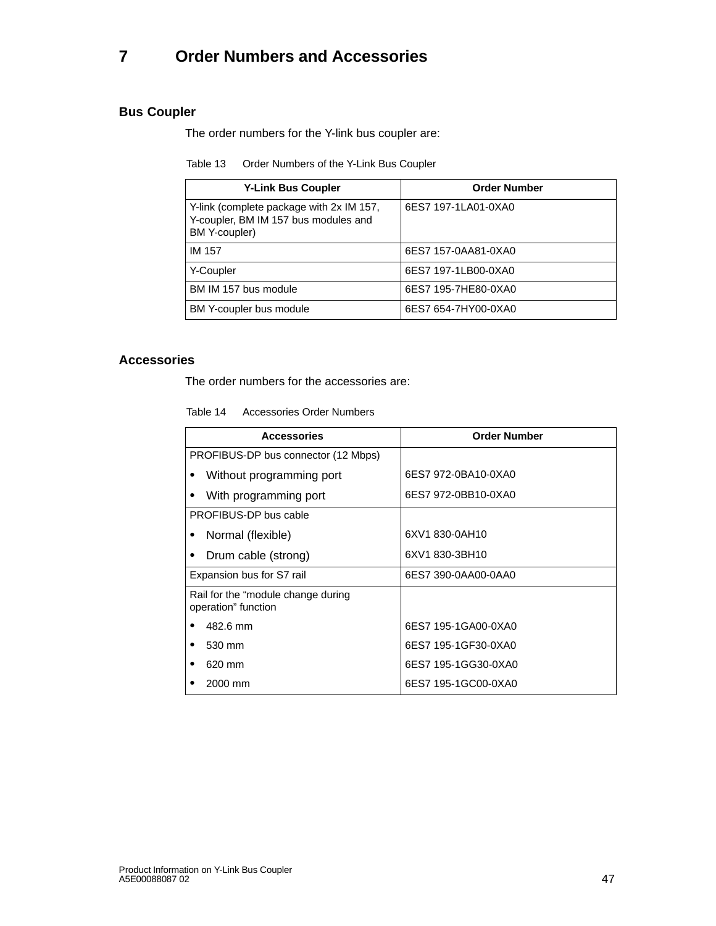# <span id="page-46-1"></span><span id="page-46-0"></span>**7 Order Numbers and Accessories**

# **Bus Coupler**

The order numbers for the Y-link bus coupler are:

Table 13 Order Numbers of the Y-Link Bus Coupler

| <b>Y-Link Bus Coupler</b>                                                                                | <b>Order Number</b> |
|----------------------------------------------------------------------------------------------------------|---------------------|
| Y-link (complete package with 2x IM 157,<br>Y-coupler, BM IM 157 bus modules and<br><b>BM Y-coupler)</b> | 6ES7 197-1LA01-0XA0 |
| <b>IM 157</b>                                                                                            | 6ES7 157-0AA81-0XA0 |
| Y-Coupler                                                                                                | 6ES7 197-1LB00-0XA0 |
| BM IM 157 bus module                                                                                     | 6ES7 195-7HE80-0XA0 |
| BM Y-coupler bus module                                                                                  | 6ES7 654-7HY00-0XA0 |

#### **Accessories**

The order numbers for the accessories are:

Table 14 Accessories Order Numbers

| <b>Accessories</b>                                         | <b>Order Number</b> |
|------------------------------------------------------------|---------------------|
| PROFIBUS-DP bus connector (12 Mbps)                        |                     |
| Without programming port<br>٠                              | 6ES7 972-0BA10-0XA0 |
| With programming port                                      | 6ES7 972-0BB10-0XA0 |
| PROFIBUS-DP bus cable                                      |                     |
| Normal (flexible)                                          | 6XV1 830-0AH10      |
| Drum cable (strong)                                        | 6XV1 830-3BH10      |
| Expansion bus for S7 rail                                  | 6ES7 390-0AA00-0AA0 |
| Rail for the "module change during"<br>operation" function |                     |
| 482.6 mm                                                   | 6ES7 195-1GA00-0XA0 |
| 530 mm                                                     | 6ES7 195-1GF30-0XA0 |
| 620 mm                                                     | 6ES7 195-1GG30-0XA0 |
| 2000 mm                                                    | 6ES7 195-1GC00-0XA0 |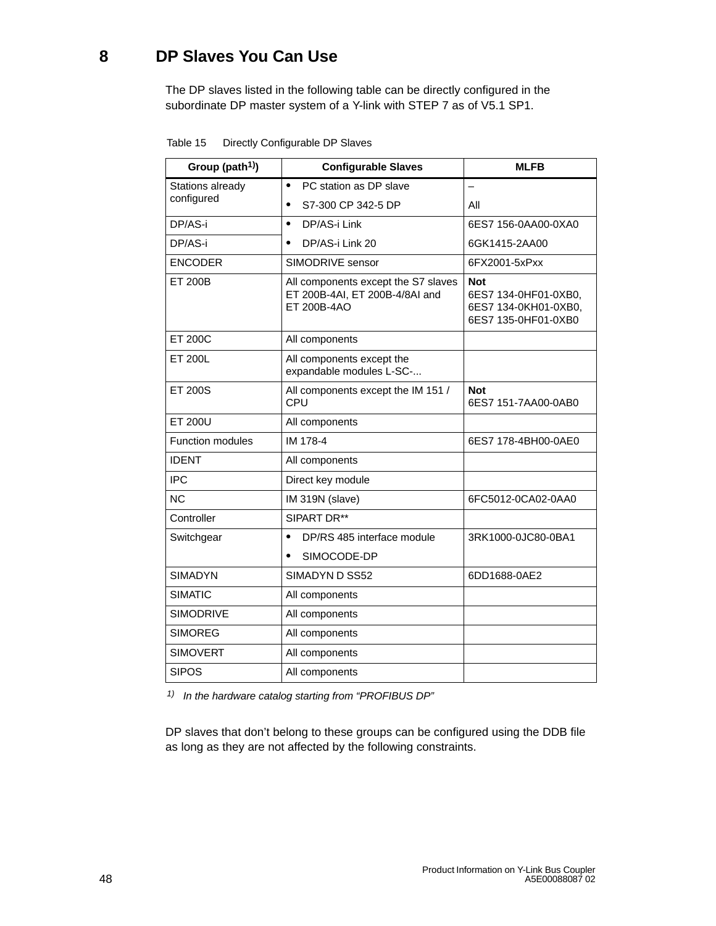# <span id="page-47-1"></span><span id="page-47-0"></span>**8 DP Slaves You Can Use**

The DP slaves listed in the following table can be directly configured in the subordinate DP master system of a Y-link with STEP 7 as of V5.1 SP1.

| Group (path <sup>1)</sup> ) | <b>Configurable Slaves</b>                                                           | <b>MLFB</b>                                                                       |  |
|-----------------------------|--------------------------------------------------------------------------------------|-----------------------------------------------------------------------------------|--|
| Stations already            | $\bullet$<br>PC station as DP slave                                                  | $\equiv$                                                                          |  |
| configured                  | S7-300 CP 342-5 DP                                                                   | All                                                                               |  |
| DP/AS-i                     | DP/AS-i Link<br>$\bullet$                                                            | 6ES7 156-0AA00-0XA0                                                               |  |
| DP/AS-i                     | DP/AS-i Link 20<br>$\bullet$                                                         | 6GK1415-2AA00                                                                     |  |
| <b>ENCODER</b>              | SIMODRIVE sensor                                                                     | 6FX2001-5xPxx                                                                     |  |
| <b>ET 200B</b>              | All components except the S7 slaves<br>ET 200B-4AI, ET 200B-4/8AI and<br>ET 200B-4AO | <b>Not</b><br>6ES7 134-0HF01-0XB0,<br>6ES7 134-0KH01-0XB0,<br>6ES7 135-0HF01-0XB0 |  |
| <b>ET 200C</b>              | All components                                                                       |                                                                                   |  |
| <b>ET 200L</b>              | All components except the<br>expandable modules L-SC-                                |                                                                                   |  |
| <b>ET 200S</b>              | All components except the IM 151 /<br>CPU                                            | <b>Not</b><br>6ES7 151-7AA00-0AB0                                                 |  |
| <b>ET 200U</b>              | All components                                                                       |                                                                                   |  |
| <b>Function modules</b>     | IM 178-4                                                                             | 6ES7 178-4BH00-0AE0                                                               |  |
| <b>IDENT</b>                | All components                                                                       |                                                                                   |  |
| <b>IPC</b>                  | Direct key module                                                                    |                                                                                   |  |
| <b>NC</b>                   | IM 319N (slave)                                                                      | 6FC5012-0CA02-0AA0                                                                |  |
| Controller                  | SIPART DR**                                                                          |                                                                                   |  |
| Switchgear                  | DP/RS 485 interface module<br>$\bullet$                                              | 3RK1000-0JC80-0BA1                                                                |  |
|                             | SIMOCODE-DP                                                                          |                                                                                   |  |
| <b>SIMADYN</b>              | SIMADYN D SS52                                                                       | 6DD1688-0AE2                                                                      |  |
| <b>SIMATIC</b>              | All components                                                                       |                                                                                   |  |
| <b>SIMODRIVE</b>            | All components                                                                       |                                                                                   |  |
| <b>SIMOREG</b>              | All components                                                                       |                                                                                   |  |
| <b>SIMOVERT</b>             | All components                                                                       |                                                                                   |  |
| <b>SIPOS</b>                | All components                                                                       |                                                                                   |  |

Table 15 Directly Configurable DP Slaves

*1) In the hardware catalog starting from "PROFIBUS DP"*

DP slaves that don't belong to these groups can be configured using the DDB file as long as they are not affected by the following constraints.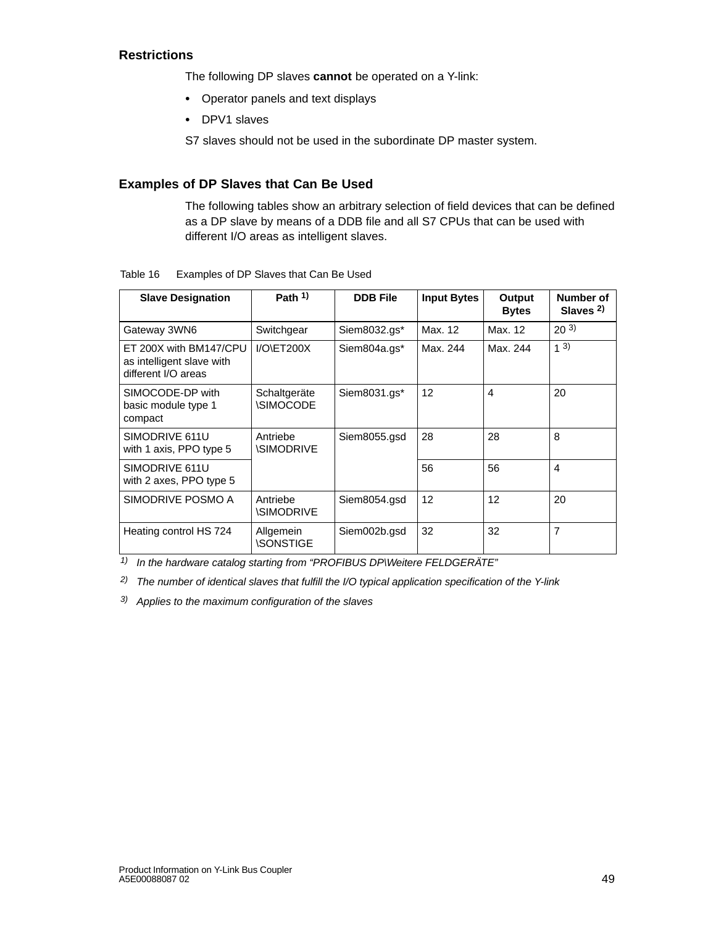#### **Restrictions**

The following DP slaves **cannot** be operated on a Y-link:

- Operator panels and text displays
- DPV1 slaves

S7 slaves should not be used in the subordinate DP master system.

#### **Examples of DP Slaves that Can Be Used**

The following tables show an arbitrary selection of field devices that can be defined as a DP slave by means of a DDB file and all S7 CPUs that can be used with different I/O areas as intelligent slaves.

| <b>Slave Designation</b>                                                   | Path $1$ )                                  | <b>DDB File</b> | <b>Input Bytes</b> | Output<br><b>Bytes</b> | Number of<br>Slaves $2$ ) |
|----------------------------------------------------------------------------|---------------------------------------------|-----------------|--------------------|------------------------|---------------------------|
| Gateway 3WN6                                                               | Switchgear                                  | Siem8032.gs*    | Max. 12            | Max. 12                | $20^{3}$                  |
| ET 200X with BM147/CPU<br>as intelligent slave with<br>different I/O areas | $I/O$ ET200X                                | Siem804a.gs*    | Max. 244           | Max. 244               | 13)                       |
| SIMOCODE-DP with<br>basic module type 1<br>compact                         | Schaltgeräte<br><b><i>SIMOCODE</i></b>      | Siem8031.gs*    | 12                 | 4                      | 20                        |
| SIMODRIVE 611U<br>with 1 axis, PPO type 5                                  | Antriebe<br><b><i><u>ISIMODRIVE</u></i></b> | Siem8055.gsd    | 28                 | 28                     | 8                         |
| SIMODRIVE 611U<br>with 2 axes, PPO type 5                                  |                                             |                 | 56                 | 56                     | 4                         |
| SIMODRIVE POSMO A                                                          | Antriebe<br><i><b>\SIMODRIVE</b></i>        | Siem8054.gsd    | 12                 | 12                     | 20                        |
| Heating control HS 724                                                     | Allgemein<br><i><b>\SONSTIGE</b></i>        | Siem002b.gsd    | 32                 | 32                     | $\overline{7}$            |

Table 16 Examples of DP Slaves that Can Be Used

*1) In the hardware catalog starting from "PROFIBUS DP\Weitere FELDGERÄTE"*

*2) The number of identical slaves that fulfill the I/O typical application specification of the Y-link*

*3) Applies to the maximum configuration of the slaves*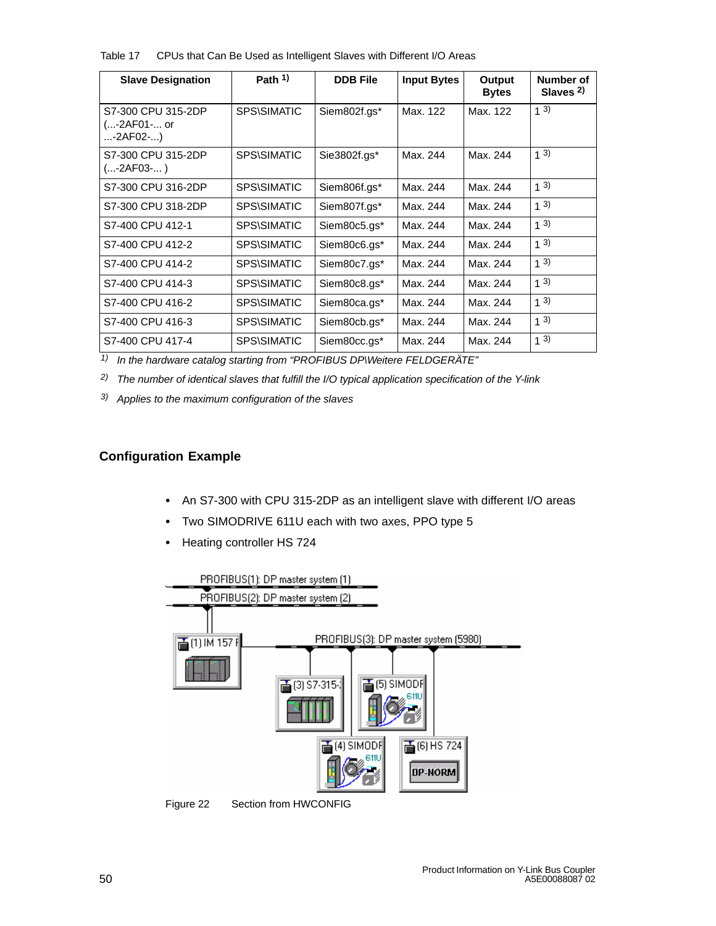|  | Table 17 CPUs that Can Be Used as Intelligent Slaves with Different I/O Areas |
|--|-------------------------------------------------------------------------------|
|--|-------------------------------------------------------------------------------|

| <b>Slave Designation</b>                      | Path $1$ )         | <b>DDB File</b> | <b>Input Bytes</b> | Output<br><b>Bytes</b> | Number of<br>Slaves $2$ ) |
|-----------------------------------------------|--------------------|-----------------|--------------------|------------------------|---------------------------|
| S7-300 CPU 315-2DP<br>(-2AF01- or<br>-2AF02-) | <b>SPS\SIMATIC</b> | Siem802f.gs*    | Max. 122           | Max. 122               | 13)                       |
| S7-300 CPU 315-2DP<br>(-2AF03- )              | <b>SPS\SIMATIC</b> | Sie3802f.gs*    | Max. 244           | Max. 244               | 13)                       |
| S7-300 CPU 316-2DP                            | <b>SPS\SIMATIC</b> | Siem806f.gs*    | Max. 244           | Max. 244               | 13)                       |
| S7-300 CPU 318-2DP                            | <b>SPS\SIMATIC</b> | Siem807f.gs*    | Max. 244           | Max. 244               | 13)                       |
| S7-400 CPU 412-1                              | <b>SPS\SIMATIC</b> | Siem80c5.gs*    | Max. 244           | Max. 244               | 13)                       |
| S7-400 CPU 412-2                              | <b>SPS\SIMATIC</b> | Siem80c6.gs*    | Max. 244           | Max. 244               | 13)                       |
| S7-400 CPU 414-2                              | <b>SPS\SIMATIC</b> | Siem80c7.gs*    | Max. 244           | Max. 244               | 13)                       |
| S7-400 CPU 414-3                              | <b>SPS\SIMATIC</b> | Siem80c8.gs*    | Max. 244           | Max. 244               | 13)                       |
| S7-400 CPU 416-2                              | <b>SPS\SIMATIC</b> | Siem80ca.gs*    | Max. 244           | Max. 244               | 13)                       |
| S7-400 CPU 416-3                              | <b>SPS\SIMATIC</b> | Siem80cb.gs*    | Max. 244           | Max. 244               | 13)                       |
| S7-400 CPU 417-4                              | <b>SPS\SIMATIC</b> | Siem80cc.gs*    | Max. 244           | Max. 244               | 13)                       |

*1) In the hardware catalog starting from "PROFIBUS DP\Weitere FELDGERÄTE"*

*2) The number of identical slaves that fulfill the I/O typical application specification of the Y-link*

*3) Applies to the maximum configuration of the slaves*

#### **Configuration Example**

- An S7-300 with CPU 315-2DP as an intelligent slave with different I/O areas
- Two SIMODRIVE 611U each with two axes, PPO type 5
- Heating controller HS 724



Figure 22 Section from HWCONFIG